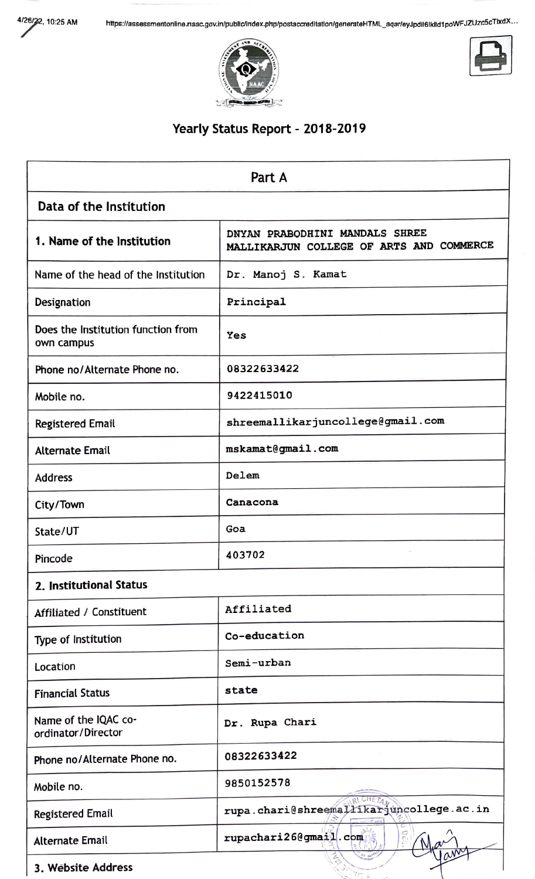



### Yearly Status Report - 2018-2019

| Part A                                           |                                                                            |  |  |
|--------------------------------------------------|----------------------------------------------------------------------------|--|--|
| Data of the Institution                          |                                                                            |  |  |
| 1. Name of the Institution                       | DNYAN PRABODHINI MANDALS SHREE<br>MALLIKARJUN COLLEGE OF ARTS AND COMMERCE |  |  |
| Name of the head of the Institution              | Dr. Manoj S. Kamat                                                         |  |  |
| Designation                                      | Principal                                                                  |  |  |
| Does the Institution function from<br>own campus | Yes                                                                        |  |  |
| Phone no/Alternate Phone no.                     | 08322633422                                                                |  |  |
| Mobile no.                                       | 9422415010                                                                 |  |  |
| <b>Registered Email</b>                          | shreemallikarjuncollege@gmail.com                                          |  |  |
| <b>Alternate Email</b>                           | mskamat@gmail.com                                                          |  |  |
| <b>Address</b>                                   | Delem                                                                      |  |  |
| City/Town                                        | Canacona                                                                   |  |  |
| State/UT                                         | Goa                                                                        |  |  |
| Pincode                                          | 403702                                                                     |  |  |
| 2. Institutional Status                          |                                                                            |  |  |
| Affiliated / Constituent                         | Affiliated                                                                 |  |  |
| Type of Institution                              | Co-education                                                               |  |  |
| Location                                         | Semi-urban                                                                 |  |  |
| <b>Financial Status</b>                          | state                                                                      |  |  |
| Name of the IQAC co-<br>ordinator/Director       | Dr. Rupa Chari                                                             |  |  |
| Phone no/Alternate Phone no.                     | 08322633422                                                                |  |  |
| Mobile no.                                       | 9850152578                                                                 |  |  |
| <b>Registered Email</b>                          | rupa.chari@shreemaliikarjuncollege.ac.in                                   |  |  |
| <b>Alternate Email</b>                           | rupachari26@gmail.com                                                      |  |  |
| 3. Website Address                               | $\eta_{\mu\nu}$                                                            |  |  |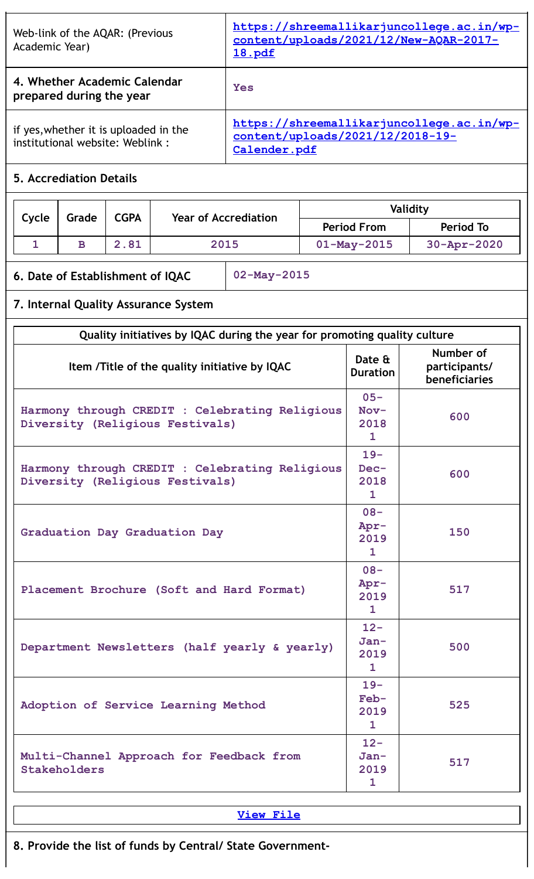| Web-link of the AQAR: (Previous<br>Academic Year)                        | https://shreemallikarjuncollege.ac.in/wp-<br>content/uploads/2021/12/New-AQAR-2017-<br><u>18.pdf</u> |
|--------------------------------------------------------------------------|------------------------------------------------------------------------------------------------------|
| 4. Whether Academic Calendar<br>prepared during the year                 | Yes                                                                                                  |
| if yes, whether it is uploaded in the<br>institutional website: Weblink: | https://shreemallikarjuncollege.ac.in/wp-<br>content/uploads/2021/12/2018-19-<br>Calender.pdf        |
| E. Accrodistion Dotaile                                                  |                                                                                                      |

Τ

### **5. Accrediation Details**

| Cycle | Grade | <b>CGPA</b><br><b>Year of Accrediation</b> |                  |                   | Validity           |
|-------|-------|--------------------------------------------|------------------|-------------------|--------------------|
|       |       | <b>Period From</b>                         | <b>Period To</b> |                   |                    |
|       | B     | 2.81                                       | 2015             | $01 - May - 2015$ | $30 - Appr - 2020$ |

# **6. Date of Establishment of IQAC 02-May-2015**

# **7. Internal Quality Assurance System**

| Quality initiatives by IQAC during the year for promoting quality culture         |                                          |                                             |  |
|-----------------------------------------------------------------------------------|------------------------------------------|---------------------------------------------|--|
| Item /Title of the quality initiative by IQAC                                     |                                          | Number of<br>participants/<br>beneficiaries |  |
| Harmony through CREDIT : Celebrating Religious<br>Diversity (Religious Festivals) | $05 -$<br>$Nov-$<br>2018<br>$\mathbf{1}$ | 600                                         |  |
| Harmony through CREDIT : Celebrating Religious<br>Diversity (Religious Festivals) | $19 -$<br>Dec-<br>2018<br>$\mathbf{1}$   | 600                                         |  |
| Graduation Day Graduation Day                                                     | $08 -$<br>Apr-<br>2019<br>$\mathbf{1}$   | 150                                         |  |
| Placement Brochure (Soft and Hard Format)                                         | $08 -$<br>Apr-<br>2019<br>$\mathbf{1}$   | 517                                         |  |
| Department Newsletters (half yearly & yearly)                                     | $12 -$<br>Jan-<br>2019<br>$\mathbf{1}$   | 500                                         |  |
| Adoption of Service Learning Method                                               | $19 -$<br>Feb-<br>2019<br>1              | 525                                         |  |
| Multi-Channel Approach for Feedback from<br>Stakeholders                          | $12 -$<br>Jan-<br>2019<br>$\mathbf{1}$   | 517                                         |  |

**[View](https://assessmentonline.naac.gov.in/public/Postacc/Quality_Initiatives/5336_Quality_Initiatives.pdf) File**

**8. Provide the list of funds by Central/ State Government-**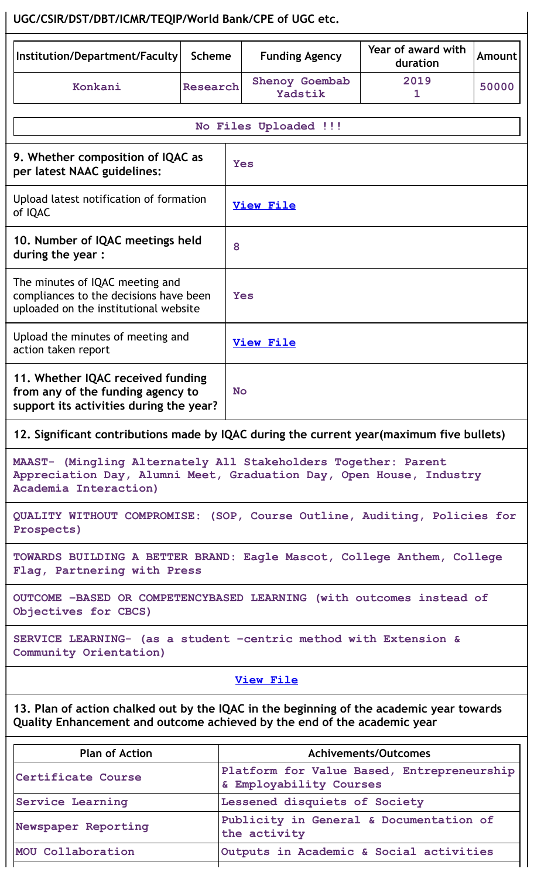# **UGC/CSIR/DST/DBT/ICMR/TEQIP/World Bank/CPE of UGC etc.**

| Institution/Department/Faculty                                                                                                                                       | <b>Scheme</b>   | <b>Funding Agency</b>                                                 | Year of award with<br>duration | <b>Amount</b> |  |  |
|----------------------------------------------------------------------------------------------------------------------------------------------------------------------|-----------------|-----------------------------------------------------------------------|--------------------------------|---------------|--|--|
| Konkani                                                                                                                                                              | <b>Research</b> | Shenoy Goembab<br>Yadstik                                             | 2019<br>1                      | 50000         |  |  |
|                                                                                                                                                                      |                 | No Files Uploaded !!!                                                 |                                |               |  |  |
| 9. Whether composition of IQAC as<br>per latest NAAC guidelines:                                                                                                     |                 | Yes                                                                   |                                |               |  |  |
| Upload latest notification of formation<br>of IQAC                                                                                                                   |                 | <b>View File</b>                                                      |                                |               |  |  |
| 10. Number of IQAC meetings held<br>during the year:                                                                                                                 |                 | 8                                                                     |                                |               |  |  |
| The minutes of IQAC meeting and<br>compliances to the decisions have been<br>uploaded on the institutional website                                                   |                 | Yes                                                                   |                                |               |  |  |
| Upload the minutes of meeting and<br>action taken report                                                                                                             |                 | <b>View File</b>                                                      |                                |               |  |  |
| 11. Whether IQAC received funding<br>from any of the funding agency to<br>support its activities during the year?                                                    |                 | <b>No</b>                                                             |                                |               |  |  |
| 12. Significant contributions made by IQAC during the current year (maximum five bullets)                                                                            |                 |                                                                       |                                |               |  |  |
| MAAST- (Mingling Alternately All Stakeholders Together: Parent<br>Appreciation Day, Alumni Meet, Graduation Day, Open House, Industry<br>Academia Interaction)       |                 |                                                                       |                                |               |  |  |
| QUALITY WITHOUT COMPROMISE: (SOP, Course Outline, Auditing, Policies for<br>Prospects)                                                                               |                 |                                                                       |                                |               |  |  |
| TOWARDS BUILDING A BETTER BRAND: Eagle Mascot, College Anthem, College<br>Flag, Partnering with Press                                                                |                 |                                                                       |                                |               |  |  |
| OUTCOME -BASED OR COMPETENCYBASED LEARNING (with outcomes instead of<br>Objectives for CBCS)                                                                         |                 |                                                                       |                                |               |  |  |
| SERVICE LEARNING- (as a student -centric method with Extension &<br>Community Orientation)                                                                           |                 |                                                                       |                                |               |  |  |
| <b>View File</b>                                                                                                                                                     |                 |                                                                       |                                |               |  |  |
| 13. Plan of action chalked out by the IQAC in the beginning of the academic year towards<br>Quality Enhancement and outcome achieved by the end of the academic year |                 |                                                                       |                                |               |  |  |
| <b>Plan of Action</b>                                                                                                                                                |                 |                                                                       | <b>Achivements/Outcomes</b>    |               |  |  |
| Certificate Course                                                                                                                                                   |                 | Platform for Value Based, Entrepreneurship<br>& Employability Courses |                                |               |  |  |
| Service Learning                                                                                                                                                     |                 | Lessened disquiets of Society                                         |                                |               |  |  |
| Newspaper Reporting                                                                                                                                                  |                 | Publicity in General & Documentation of<br>the activity               |                                |               |  |  |

**MOU Collaboration Outputs in Academic & Social activities**

T

 $\mathsf{I}$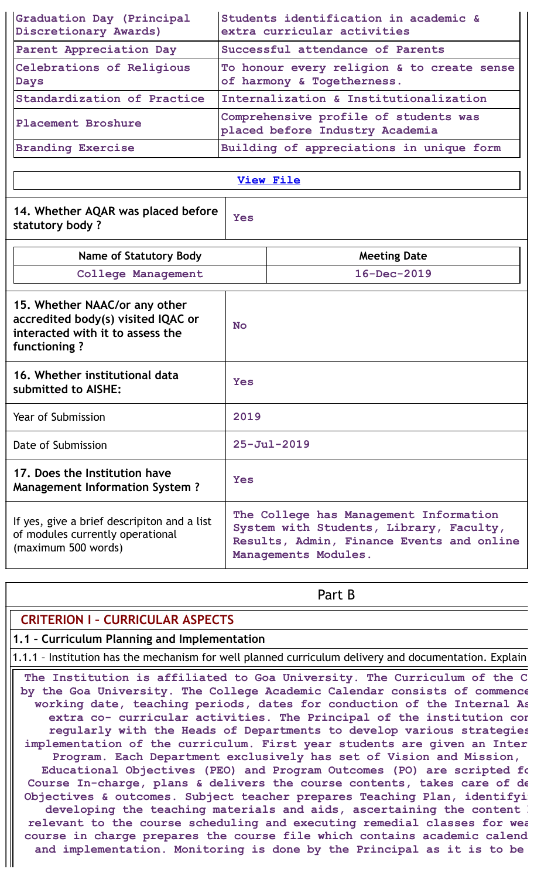| Graduation Day (Principal<br>Discretionary Awards) | Students identification in academic &<br>extra curricular activities     |
|----------------------------------------------------|--------------------------------------------------------------------------|
| Parent Appreciation Day                            | Successful attendance of Parents                                         |
| Celebrations of Religious<br><b>Days</b>           | To honour every religion & to create sense<br>of harmony & Togetherness. |
| Standardization of Practice                        | Internalization & Institutionalization                                   |
| Placement Broshure                                 | Comprehensive profile of students was<br>placed before Industry Academia |
| <b>Branding Exercise</b>                           | Building of appreciations in unique form                                 |

| 14. Whether AQAR was placed before |
|------------------------------------|
| statutory body?                    |

**Yes**

Τ

| <b>Name of Statutory Body</b>                                                                                           | <b>Meeting Date</b>                                                                                                                                    |
|-------------------------------------------------------------------------------------------------------------------------|--------------------------------------------------------------------------------------------------------------------------------------------------------|
| <b>College Management</b>                                                                                               | $16 - Dec - 2019$                                                                                                                                      |
| 15. Whether NAAC/or any other<br>accredited body(s) visited IQAC or<br>interacted with it to assess the<br>functioning? | N <sub>O</sub>                                                                                                                                         |
| 16. Whether institutional data<br>submitted to AISHE:                                                                   | Yes                                                                                                                                                    |
| Year of Submission                                                                                                      | 2019                                                                                                                                                   |
| Date of Submission                                                                                                      | $25 - Ju1 - 2019$                                                                                                                                      |
| 17. Does the Institution have<br><b>Management Information System?</b>                                                  | Yes                                                                                                                                                    |
| If yes, give a brief descripiton and a list<br>of modules currently operational<br>(maximum 500 words)                  | The College has Management Information<br>System with Students, Library, Faculty,<br>Results, Admin, Finance Events and online<br>Managements Modules. |

| Part B                                                                                                                                                                                                                                                                                                                                                                                                                                                                                                                                                                                                                                                                                                                                                                                                                                                                                                                                                                                                                                                                              |
|-------------------------------------------------------------------------------------------------------------------------------------------------------------------------------------------------------------------------------------------------------------------------------------------------------------------------------------------------------------------------------------------------------------------------------------------------------------------------------------------------------------------------------------------------------------------------------------------------------------------------------------------------------------------------------------------------------------------------------------------------------------------------------------------------------------------------------------------------------------------------------------------------------------------------------------------------------------------------------------------------------------------------------------------------------------------------------------|
| <b>CRITERION I - CURRICULAR ASPECTS</b>                                                                                                                                                                                                                                                                                                                                                                                                                                                                                                                                                                                                                                                                                                                                                                                                                                                                                                                                                                                                                                             |
| 1.1 - Curriculum Planning and Implementation                                                                                                                                                                                                                                                                                                                                                                                                                                                                                                                                                                                                                                                                                                                                                                                                                                                                                                                                                                                                                                        |
| 1.1.1 - Institution has the mechanism for well planned curriculum delivery and documentation. Explain                                                                                                                                                                                                                                                                                                                                                                                                                                                                                                                                                                                                                                                                                                                                                                                                                                                                                                                                                                               |
| The Institution is affiliated to Goa University. The Curriculum of the C<br>by the Goa University. The College Academic Calendar consists of commence<br>working date, teaching periods, dates for conduction of the Internal As<br>extra co- curricular activities. The Principal of the institution cor<br>regularly with the Heads of Departments to develop various strategies<br>implementation of the curriculum. First year students are given an Inter<br>Program. Each Department exclusively has set of Vision and Mission,<br>Educational Objectives (PEO) and Program Outcomes (PO) are scripted fo<br>Course In-charge, plans & delivers the course contents, takes care of de<br>Objectives & outcomes. Subject teacher prepares Teaching Plan, identifyi<br>developing the teaching materials and aids, ascertaining the content :<br>relevant to the course scheduling and executing remedial classes for wea<br>course in charge prepares the course file which contains academic calend<br>and implementation. Monitoring is done by the Principal as it is to be |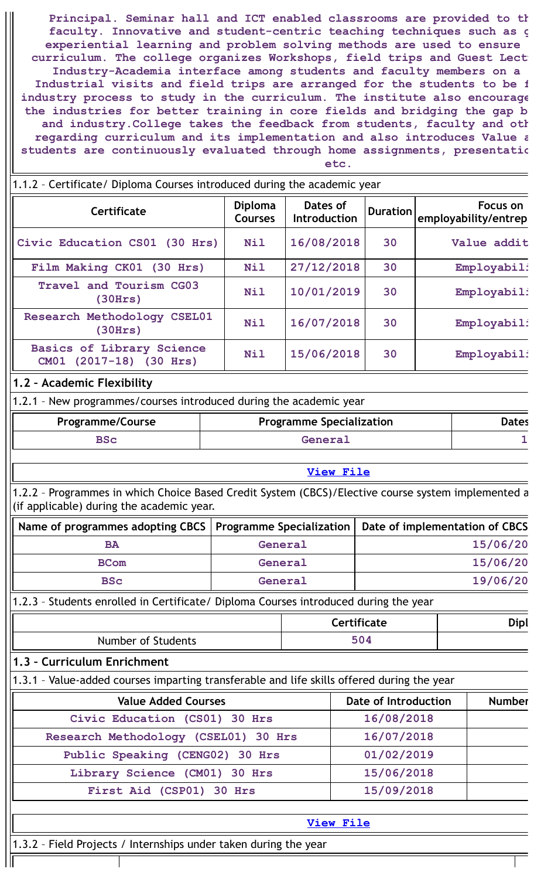**Principal. Seminar hall and ICT enabled classrooms are provided to th faculty. Innovative and student-centric teaching techniques such as g experiential learning and problem solving methods are used to ensure curriculum. The college organizes Workshops, field trips and Guest Lectu Industry-Academia interface among students and faculty members on a Industrial visits and field trips are arranged for the students to be f industry process to study in the curriculum. The institute also encourage the industries for better training in core fields and bridging the gap b and industry.College takes the feedback from students, faculty and oth regarding curriculum and its implementation and also introduces Value a students are continuously evaluated through home assignments, presentatio etc.**

| 1.1.2 - Certificate/ Diploma Courses introduced during the academic year |                                  |                                 |                 |                                  |
|--------------------------------------------------------------------------|----------------------------------|---------------------------------|-----------------|----------------------------------|
| Certificate                                                              | <b>Diploma</b><br><b>Courses</b> | Dates of<br><b>Introduction</b> | <b>Duration</b> | Focus on<br>employability/entrep |
| Civic Education CS01 (30 Hrs)                                            | <b>Nil</b>                       | 16/08/2018                      | 30              | Value addit                      |
| Film Making CK01 (30 Hrs)                                                | <b>Nil</b>                       | 27/12/2018                      | 30              | Employabili                      |
| Travel and Tourism CG03<br>(30Hrs)                                       | Nil                              | 10/01/2019                      | 30              | Employabili                      |
| Research Methodology CSEL01<br>(30Hrs)                                   | Nil                              | 16/07/2018                      | 30              | Employabili                      |
| <b>Basics of Library Science</b><br>CM01 (2017-18) (30 Hrs)              | <b>Nil</b>                       | 15/06/2018                      | 30              | Employabili                      |

### **1.2 – Academic Flexibility**

1.2.1 – New programmes/courses introduced during the academic year

| <b>Programme/Course</b> | <b>Programme Specialization</b> | Dates |
|-------------------------|---------------------------------|-------|
| BSc                     | General                         |       |

**[View](https://assessmentonline.naac.gov.in/public/Postacc/Program_introduced/5336_Program_introduced_1648542659.xlsx) File**

1.2.2 – Programmes in which Choice Based Credit System (CBCS)/Elective course system implemented a (if applicable) during the academic year.

| Name of programmes adopting CBCS   Programme Specialization   Date of implementation of CBCS |         |          |
|----------------------------------------------------------------------------------------------|---------|----------|
| <b>BA</b>                                                                                    | General | 15/06/20 |
| <b>BCom</b>                                                                                  | General | 15/06/20 |
| <b>BSc</b>                                                                                   | General | 19/06/20 |

1.2.3 – Students enrolled in Certificate/ Diploma Courses introduced during the year

|                    | <b>Certificate</b> | Dipl |
|--------------------|--------------------|------|
| Number of Students | <b>EO</b>          |      |

#### **1.3 – Curriculum Enrichment**

1.3.1 – Value-added courses imparting transferable and life skills offered during the year

| <b>Value Added Courses</b>           | <b>Date of Introduction</b> | <b>Number</b> |
|--------------------------------------|-----------------------------|---------------|
| Civic Education (CS01) 30 Hrs        | 16/08/2018                  |               |
| Research Methodology (CSEL01) 30 Hrs | 16/07/2018                  |               |
| Public Speaking (CENG02) 30 Hrs      | 01/02/2019                  |               |
| Library Science (CM01) 30 Hrs        | 15/06/2018                  |               |
| First Aid (CSP01) 30 Hrs             | 15/09/2018                  |               |

**[View](https://assessmentonline.naac.gov.in/public/Postacc/Value_added_courses/5336_Value_added_courses_1640663031.xlsx) File**

1.3.2 – Field Projects / Internships under taken during the year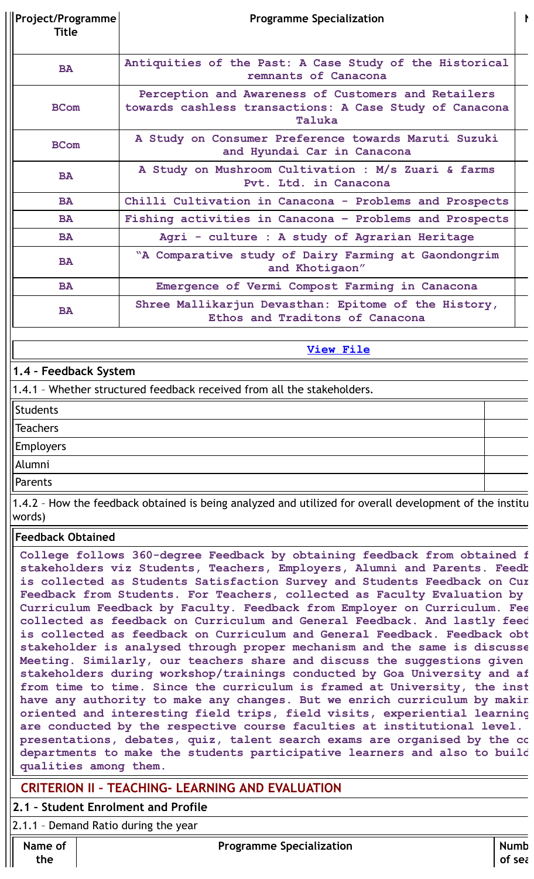| Project/Programme<br><b>Title</b> | <b>Programme Specialization</b>                                                                                          |  |  |  |
|-----------------------------------|--------------------------------------------------------------------------------------------------------------------------|--|--|--|
| <b>BA</b>                         | Antiquities of the Past: A Case Study of the Historical<br>remnants of Canacona                                          |  |  |  |
| <b>BCom</b>                       | Perception and Awareness of Customers and Retailers<br>towards cashless transactions: A Case Study of Canacona<br>Taluka |  |  |  |
| <b>BCom</b>                       | A Study on Consumer Preference towards Maruti Suzuki<br>and Hyundai Car in Canacona                                      |  |  |  |
| <b>BA</b>                         | A Study on Mushroom Cultivation : M/s Zuari & farms<br>Pvt. Ltd. in Canacona                                             |  |  |  |
| <b>BA</b>                         | Chilli Cultivation in Canacona - Problems and Prospects                                                                  |  |  |  |
| <b>BA</b>                         | Fishing activities in Canacona - Problems and Prospects                                                                  |  |  |  |
| <b>BA</b>                         | Agri - culture : A study of Agrarian Heritage                                                                            |  |  |  |
| <b>BA</b>                         | "A Comparative study of Dairy Farming at Gaondongrim<br>and Khotigaon"                                                   |  |  |  |
| <b>BA</b>                         | Emergence of Vermi Compost Farming in Canacona                                                                           |  |  |  |
| <b>BA</b>                         | Shree Mallikarjun Devasthan: Epitome of the History,<br>Ethos and Traditons of Canacona                                  |  |  |  |

### **1.4 – Feedback System**

1.4.1 – Whether structured feedback received from all the stakeholders.

Students

**Teachers** 

Employers

Alumni

Parents

1.4.2 – How the feedback obtained is being analyzed and utilized for overall development of the institu words)

### **Feedback Obtained**

**College follows 360-degree Feedback by obtaining feedback from obtained f stakeholders viz Students, Teachers, Employers, Alumni and Parents. Feedb is collected as Students Satisfaction Survey and Students Feedback on Cur Feedback from Students. For Teachers, collected as Faculty Evaluation by Curriculum Feedback by Faculty. Feedback from Employer on Curriculum. Fee collected as feedback on Curriculum and General Feedback. And lastly feed is collected as feedback on Curriculum and General Feedback. Feedback obt stakeholder is analysed through proper mechanism and the same is discusse Meeting. Similarly, our teachers share and discuss the suggestions given stakeholders during workshop/trainings conducted by Goa University and af from time to time. Since the curriculum is framed at University, the inst have any authority to make any changes. But we enrich curriculum by makin oriented and interesting field trips, field visits, experiential learning are conducted by the respective course faculties at institutional level. presentations, debates, quiz, talent search exams are organised by the co departments to make the students participative learners and also to build qualities among them.**

## **CRITERION II – TEACHING- LEARNING AND EVALUATION**

### **2.1 – Student Enrolment and Profile**

2.1.1 – Demand Ratio during the year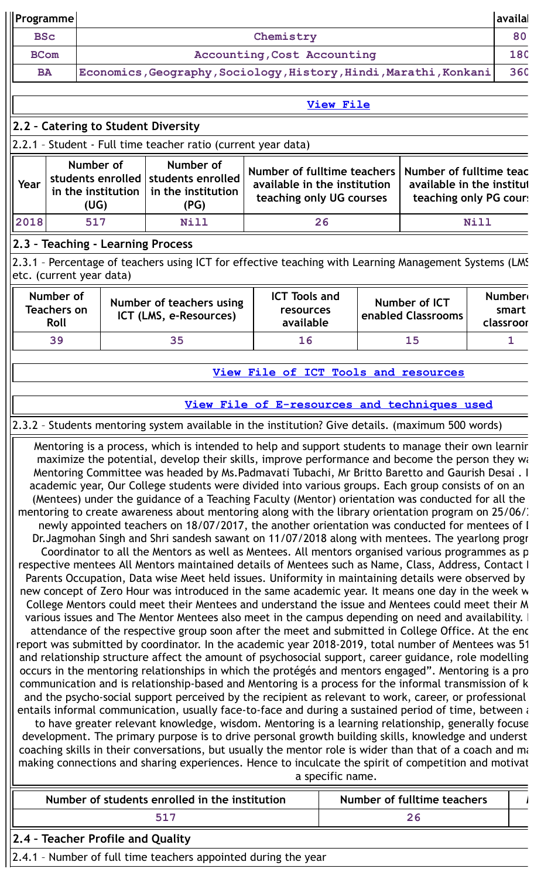| Programme   |                                                                                                                                                                                                                                                                                                                                                                                                                                                                                                                                                                                                                                                                                                                                                                                                                                                                                                                                                                                                                                                                                                                                                                                                                                                                                                                                                                                                                                                                                                                                                                                                                                                                                                                                                                                                                                                                                                                                                                                                                                                                                                                                                                                                                                                                                                                                                                                                                                                                                                                                                                                                                                                                                                                                                                    |                                                              |                                                                                                        |                                                                                         |                  |                                                                                |                                     |             | availal                             |
|-------------|--------------------------------------------------------------------------------------------------------------------------------------------------------------------------------------------------------------------------------------------------------------------------------------------------------------------------------------------------------------------------------------------------------------------------------------------------------------------------------------------------------------------------------------------------------------------------------------------------------------------------------------------------------------------------------------------------------------------------------------------------------------------------------------------------------------------------------------------------------------------------------------------------------------------------------------------------------------------------------------------------------------------------------------------------------------------------------------------------------------------------------------------------------------------------------------------------------------------------------------------------------------------------------------------------------------------------------------------------------------------------------------------------------------------------------------------------------------------------------------------------------------------------------------------------------------------------------------------------------------------------------------------------------------------------------------------------------------------------------------------------------------------------------------------------------------------------------------------------------------------------------------------------------------------------------------------------------------------------------------------------------------------------------------------------------------------------------------------------------------------------------------------------------------------------------------------------------------------------------------------------------------------------------------------------------------------------------------------------------------------------------------------------------------------------------------------------------------------------------------------------------------------------------------------------------------------------------------------------------------------------------------------------------------------------------------------------------------------------------------------------------------------|--------------------------------------------------------------|--------------------------------------------------------------------------------------------------------|-----------------------------------------------------------------------------------------|------------------|--------------------------------------------------------------------------------|-------------------------------------|-------------|-------------------------------------|
| <b>BSc</b>  |                                                                                                                                                                                                                                                                                                                                                                                                                                                                                                                                                                                                                                                                                                                                                                                                                                                                                                                                                                                                                                                                                                                                                                                                                                                                                                                                                                                                                                                                                                                                                                                                                                                                                                                                                                                                                                                                                                                                                                                                                                                                                                                                                                                                                                                                                                                                                                                                                                                                                                                                                                                                                                                                                                                                                                    |                                                              | Chemistry                                                                                              |                                                                                         |                  |                                                                                |                                     |             | 80                                  |
| <b>BCom</b> |                                                                                                                                                                                                                                                                                                                                                                                                                                                                                                                                                                                                                                                                                                                                                                                                                                                                                                                                                                                                                                                                                                                                                                                                                                                                                                                                                                                                                                                                                                                                                                                                                                                                                                                                                                                                                                                                                                                                                                                                                                                                                                                                                                                                                                                                                                                                                                                                                                                                                                                                                                                                                                                                                                                                                                    |                                                              |                                                                                                        | <b>Accounting, Cost Accounting</b>                                                      |                  |                                                                                |                                     |             | 180                                 |
| <b>BA</b>   |                                                                                                                                                                                                                                                                                                                                                                                                                                                                                                                                                                                                                                                                                                                                                                                                                                                                                                                                                                                                                                                                                                                                                                                                                                                                                                                                                                                                                                                                                                                                                                                                                                                                                                                                                                                                                                                                                                                                                                                                                                                                                                                                                                                                                                                                                                                                                                                                                                                                                                                                                                                                                                                                                                                                                                    |                                                              | Economics, Geography, Sociology, History, Hindi, Marathi, Konkani                                      |                                                                                         |                  |                                                                                |                                     |             | 360                                 |
|             |                                                                                                                                                                                                                                                                                                                                                                                                                                                                                                                                                                                                                                                                                                                                                                                                                                                                                                                                                                                                                                                                                                                                                                                                                                                                                                                                                                                                                                                                                                                                                                                                                                                                                                                                                                                                                                                                                                                                                                                                                                                                                                                                                                                                                                                                                                                                                                                                                                                                                                                                                                                                                                                                                                                                                                    |                                                              |                                                                                                        |                                                                                         | <b>View File</b> |                                                                                |                                     |             |                                     |
|             |                                                                                                                                                                                                                                                                                                                                                                                                                                                                                                                                                                                                                                                                                                                                                                                                                                                                                                                                                                                                                                                                                                                                                                                                                                                                                                                                                                                                                                                                                                                                                                                                                                                                                                                                                                                                                                                                                                                                                                                                                                                                                                                                                                                                                                                                                                                                                                                                                                                                                                                                                                                                                                                                                                                                                                    | 2.2 - Catering to Student Diversity                          |                                                                                                        |                                                                                         |                  |                                                                                |                                     |             |                                     |
|             |                                                                                                                                                                                                                                                                                                                                                                                                                                                                                                                                                                                                                                                                                                                                                                                                                                                                                                                                                                                                                                                                                                                                                                                                                                                                                                                                                                                                                                                                                                                                                                                                                                                                                                                                                                                                                                                                                                                                                                                                                                                                                                                                                                                                                                                                                                                                                                                                                                                                                                                                                                                                                                                                                                                                                                    |                                                              | 2.2.1 - Student - Full time teacher ratio (current year data)                                          |                                                                                         |                  |                                                                                |                                     |             |                                     |
| Year        |                                                                                                                                                                                                                                                                                                                                                                                                                                                                                                                                                                                                                                                                                                                                                                                                                                                                                                                                                                                                                                                                                                                                                                                                                                                                                                                                                                                                                                                                                                                                                                                                                                                                                                                                                                                                                                                                                                                                                                                                                                                                                                                                                                                                                                                                                                                                                                                                                                                                                                                                                                                                                                                                                                                                                                    | Number of<br>students enrolled<br>in the institution<br>(UG) | Number of<br>students enrolled<br>in the institution<br>(PG)                                           | Number of fulltime teachers<br>available in the institution<br>teaching only UG courses |                  | Number of fulltime teac<br>available in the institut<br>teaching only PG cours |                                     |             |                                     |
| 2018        |                                                                                                                                                                                                                                                                                                                                                                                                                                                                                                                                                                                                                                                                                                                                                                                                                                                                                                                                                                                                                                                                                                                                                                                                                                                                                                                                                                                                                                                                                                                                                                                                                                                                                                                                                                                                                                                                                                                                                                                                                                                                                                                                                                                                                                                                                                                                                                                                                                                                                                                                                                                                                                                                                                                                                                    | 517                                                          | <b>Nill</b>                                                                                            |                                                                                         | 26               |                                                                                |                                     | <b>Nill</b> |                                     |
|             |                                                                                                                                                                                                                                                                                                                                                                                                                                                                                                                                                                                                                                                                                                                                                                                                                                                                                                                                                                                                                                                                                                                                                                                                                                                                                                                                                                                                                                                                                                                                                                                                                                                                                                                                                                                                                                                                                                                                                                                                                                                                                                                                                                                                                                                                                                                                                                                                                                                                                                                                                                                                                                                                                                                                                                    | 2.3 - Teaching - Learning Process                            |                                                                                                        |                                                                                         |                  |                                                                                |                                     |             |                                     |
|             |                                                                                                                                                                                                                                                                                                                                                                                                                                                                                                                                                                                                                                                                                                                                                                                                                                                                                                                                                                                                                                                                                                                                                                                                                                                                                                                                                                                                                                                                                                                                                                                                                                                                                                                                                                                                                                                                                                                                                                                                                                                                                                                                                                                                                                                                                                                                                                                                                                                                                                                                                                                                                                                                                                                                                                    | etc. (current year data)                                     | 2.3.1 - Percentage of teachers using ICT for effective teaching with Learning Management Systems (LMS) |                                                                                         |                  |                                                                                |                                     |             |                                     |
|             | Number of<br><b>Teachers on</b><br>Roll                                                                                                                                                                                                                                                                                                                                                                                                                                                                                                                                                                                                                                                                                                                                                                                                                                                                                                                                                                                                                                                                                                                                                                                                                                                                                                                                                                                                                                                                                                                                                                                                                                                                                                                                                                                                                                                                                                                                                                                                                                                                                                                                                                                                                                                                                                                                                                                                                                                                                                                                                                                                                                                                                                                            |                                                              | Number of teachers using<br>ICT (LMS, e-Resources)                                                     | <b>ICT Tools and</b><br>resources<br>available                                          |                  |                                                                                | Number of ICT<br>enabled Classrooms |             | <b>Number</b><br>smart<br>classroor |
|             | 39                                                                                                                                                                                                                                                                                                                                                                                                                                                                                                                                                                                                                                                                                                                                                                                                                                                                                                                                                                                                                                                                                                                                                                                                                                                                                                                                                                                                                                                                                                                                                                                                                                                                                                                                                                                                                                                                                                                                                                                                                                                                                                                                                                                                                                                                                                                                                                                                                                                                                                                                                                                                                                                                                                                                                                 |                                                              | 35                                                                                                     | 16                                                                                      |                  |                                                                                | 15                                  |             | 1                                   |
|             |                                                                                                                                                                                                                                                                                                                                                                                                                                                                                                                                                                                                                                                                                                                                                                                                                                                                                                                                                                                                                                                                                                                                                                                                                                                                                                                                                                                                                                                                                                                                                                                                                                                                                                                                                                                                                                                                                                                                                                                                                                                                                                                                                                                                                                                                                                                                                                                                                                                                                                                                                                                                                                                                                                                                                                    |                                                              |                                                                                                        | View File of ICT Tools and resources                                                    |                  |                                                                                |                                     |             |                                     |
|             |                                                                                                                                                                                                                                                                                                                                                                                                                                                                                                                                                                                                                                                                                                                                                                                                                                                                                                                                                                                                                                                                                                                                                                                                                                                                                                                                                                                                                                                                                                                                                                                                                                                                                                                                                                                                                                                                                                                                                                                                                                                                                                                                                                                                                                                                                                                                                                                                                                                                                                                                                                                                                                                                                                                                                                    |                                                              |                                                                                                        |                                                                                         |                  |                                                                                |                                     |             |                                     |
|             |                                                                                                                                                                                                                                                                                                                                                                                                                                                                                                                                                                                                                                                                                                                                                                                                                                                                                                                                                                                                                                                                                                                                                                                                                                                                                                                                                                                                                                                                                                                                                                                                                                                                                                                                                                                                                                                                                                                                                                                                                                                                                                                                                                                                                                                                                                                                                                                                                                                                                                                                                                                                                                                                                                                                                                    |                                                              |                                                                                                        | View File of E-resources and techniques used                                            |                  |                                                                                |                                     |             |                                     |
|             |                                                                                                                                                                                                                                                                                                                                                                                                                                                                                                                                                                                                                                                                                                                                                                                                                                                                                                                                                                                                                                                                                                                                                                                                                                                                                                                                                                                                                                                                                                                                                                                                                                                                                                                                                                                                                                                                                                                                                                                                                                                                                                                                                                                                                                                                                                                                                                                                                                                                                                                                                                                                                                                                                                                                                                    |                                                              |                                                                                                        |                                                                                         |                  |                                                                                |                                     |             |                                     |
|             | 2.3.2 - Students mentoring system available in the institution? Give details. (maximum 500 words)<br>Mentoring is a process, which is intended to help and support students to manage their own learnin<br>maximize the potential, develop their skills, improve performance and become the person they wan<br>Mentoring Committee was headed by Ms. Padmavati Tubachi, Mr Britto Baretto and Gaurish Desai. I<br>academic year, Our College students were divided into various groups. Each group consists of on an<br>(Mentees) under the guidance of a Teaching Faculty (Mentor) orientation was conducted for all the<br>mentoring to create awareness about mentoring along with the library orientation program on 25/06/.<br>newly appointed teachers on 18/07/2017, the another orientation was conducted for mentees of I<br>Dr. Jagmohan Singh and Shri sandesh sawant on 11/07/2018 along with mentees. The yearlong progr<br>Coordinator to all the Mentors as well as Mentees. All mentors organised various programmes as p<br>respective mentees All Mentors maintained details of Mentees such as Name, Class, Address, Contact I<br>Parents Occupation, Data wise Meet held issues. Uniformity in maintaining details were observed by<br>new concept of Zero Hour was introduced in the same academic year. It means one day in the week w<br>College Mentors could meet their Mentees and understand the issue and Mentees could meet their M<br>various issues and The Mentor Mentees also meet in the campus depending on need and availability. I<br>attendance of the respective group soon after the meet and submitted in College Office. At the enc<br>report was submitted by coordinator. In the academic year 2018-2019, total number of Mentees was 51<br>and relationship structure affect the amount of psychosocial support, career guidance, role modelling<br>occurs in the mentoring relationships in which the protégés and mentors engaged". Mentoring is a pro<br>communication and is relationship-based and Mentoring is a process for the informal transmission of k<br>and the psycho-social support perceived by the recipient as relevant to work, career, or professional<br>entails informal communication, usually face-to-face and during a sustained period of time, between a<br>to have greater relevant knowledge, wisdom. Mentoring is a learning relationship, generally focuse<br>development. The primary purpose is to drive personal growth building skills, knowledge and underst<br>coaching skills in their conversations, but usually the mentor role is wider than that of a coach and man<br>making connections and sharing experiences. Hence to inculcate the spirit of competition and motivat |                                                              |                                                                                                        |                                                                                         |                  |                                                                                |                                     |             |                                     |
|             |                                                                                                                                                                                                                                                                                                                                                                                                                                                                                                                                                                                                                                                                                                                                                                                                                                                                                                                                                                                                                                                                                                                                                                                                                                                                                                                                                                                                                                                                                                                                                                                                                                                                                                                                                                                                                                                                                                                                                                                                                                                                                                                                                                                                                                                                                                                                                                                                                                                                                                                                                                                                                                                                                                                                                                    |                                                              | Number of students enrolled in the institution                                                         |                                                                                         |                  |                                                                                | Number of fulltime teachers         |             | $\mathbf{I}$                        |
|             |                                                                                                                                                                                                                                                                                                                                                                                                                                                                                                                                                                                                                                                                                                                                                                                                                                                                                                                                                                                                                                                                                                                                                                                                                                                                                                                                                                                                                                                                                                                                                                                                                                                                                                                                                                                                                                                                                                                                                                                                                                                                                                                                                                                                                                                                                                                                                                                                                                                                                                                                                                                                                                                                                                                                                                    |                                                              | 517                                                                                                    |                                                                                         |                  |                                                                                | 26                                  |             |                                     |
|             | 2.4 - Teacher Profile and Quality                                                                                                                                                                                                                                                                                                                                                                                                                                                                                                                                                                                                                                                                                                                                                                                                                                                                                                                                                                                                                                                                                                                                                                                                                                                                                                                                                                                                                                                                                                                                                                                                                                                                                                                                                                                                                                                                                                                                                                                                                                                                                                                                                                                                                                                                                                                                                                                                                                                                                                                                                                                                                                                                                                                                  |                                                              |                                                                                                        |                                                                                         |                  |                                                                                |                                     |             |                                     |

2.4.1 - Number of full time teachers appointed during the year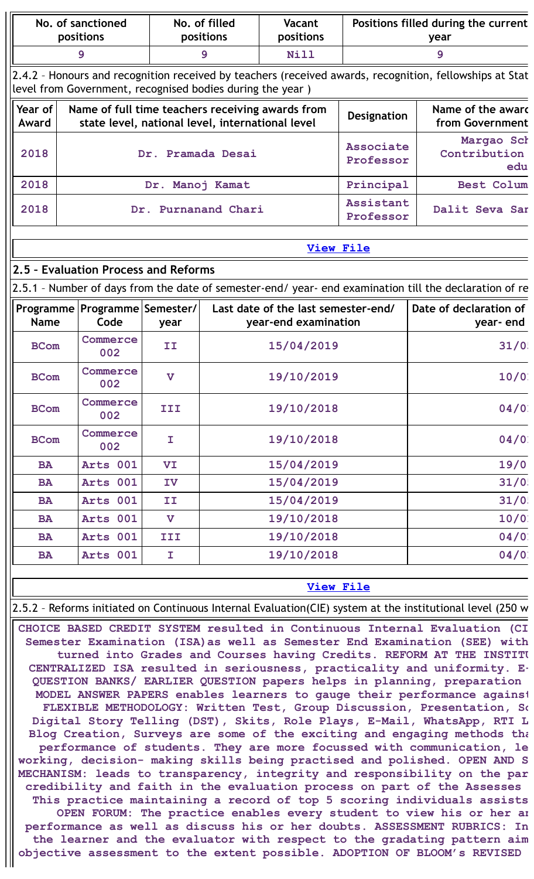|                                                                                                                                                                                                                                                                                                            | No. of sanctioned<br>positions                                                                                                                                       |                           | No. of filled<br>positions | <b>Vacant</b><br>positions                                  | Positions filled during the current<br>year |                                                                                                           |  |  |
|------------------------------------------------------------------------------------------------------------------------------------------------------------------------------------------------------------------------------------------------------------------------------------------------------------|----------------------------------------------------------------------------------------------------------------------------------------------------------------------|---------------------------|----------------------------|-------------------------------------------------------------|---------------------------------------------|-----------------------------------------------------------------------------------------------------------|--|--|
|                                                                                                                                                                                                                                                                                                            | 9                                                                                                                                                                    |                           | $\mathbf{9}$               | Nill                                                        |                                             | 9                                                                                                         |  |  |
|                                                                                                                                                                                                                                                                                                            | 2.4.2 - Honours and recognition received by teachers (received awards, recognition, fellowships at Stat<br>level from Government, recognised bodies during the year) |                           |                            |                                                             |                                             |                                                                                                           |  |  |
| Year of<br>Award                                                                                                                                                                                                                                                                                           | Name of the award<br>Name of full time teachers receiving awards from<br><b>Designation</b><br>state level, national level, international level<br>from Government   |                           |                            |                                                             |                                             |                                                                                                           |  |  |
| 2018                                                                                                                                                                                                                                                                                                       |                                                                                                                                                                      |                           | Dr. Pramada Desai          |                                                             | <b>Associate</b><br>Professor               | Margao Scł<br>Contribution<br>edu                                                                         |  |  |
| 2018                                                                                                                                                                                                                                                                                                       |                                                                                                                                                                      | Dr. Manoj Kamat           |                            |                                                             | Principal                                   | <b>Best Colum</b>                                                                                         |  |  |
| 2018                                                                                                                                                                                                                                                                                                       |                                                                                                                                                                      | Dr.                       | Purnanand Chari            |                                                             | Assistant<br>Professor                      | Dalit Seva Sar                                                                                            |  |  |
|                                                                                                                                                                                                                                                                                                            |                                                                                                                                                                      |                           |                            | <b>View File</b>                                            |                                             |                                                                                                           |  |  |
|                                                                                                                                                                                                                                                                                                            | 2.5 - Evaluation Process and Reforms                                                                                                                                 |                           |                            |                                                             |                                             |                                                                                                           |  |  |
|                                                                                                                                                                                                                                                                                                            |                                                                                                                                                                      |                           |                            |                                                             |                                             | 2.5.1 - Number of days from the date of semester-end/ year- end examination till the declaration of re    |  |  |
| <b>Name</b>                                                                                                                                                                                                                                                                                                | Programme   Programme   Semester /  <br>Code                                                                                                                         | year                      |                            | Last date of the last semester-end/<br>year-end examination |                                             | Date of declaration of<br>year-end                                                                        |  |  |
| <b>BCom</b>                                                                                                                                                                                                                                                                                                | Commerce<br>002                                                                                                                                                      | II                        |                            | 15/04/2019                                                  |                                             | 31/0                                                                                                      |  |  |
| <b>BCom</b>                                                                                                                                                                                                                                                                                                | Commerce<br>002                                                                                                                                                      | $\boldsymbol{\mathrm{v}}$ |                            | 19/10/2019                                                  | 10/0                                        |                                                                                                           |  |  |
| <b>BCom</b>                                                                                                                                                                                                                                                                                                | Commerce<br>002                                                                                                                                                      | III                       |                            | 19/10/2018                                                  |                                             | 04/0                                                                                                      |  |  |
| <b>BCom</b>                                                                                                                                                                                                                                                                                                | Commerce<br>002                                                                                                                                                      | T.                        |                            | 19/10/2018                                                  |                                             | 04/0                                                                                                      |  |  |
| <b>BA</b>                                                                                                                                                                                                                                                                                                  | Arts 001                                                                                                                                                             | VI                        |                            | 15/04/2019                                                  |                                             | 19/0                                                                                                      |  |  |
| <b>BA</b>                                                                                                                                                                                                                                                                                                  | Arts 001                                                                                                                                                             | IV                        |                            | 15/04/2019                                                  |                                             | 31/0                                                                                                      |  |  |
| <b>BA</b>                                                                                                                                                                                                                                                                                                  | Arts 001                                                                                                                                                             | II                        |                            | 15/04/2019                                                  |                                             | 31/0!                                                                                                     |  |  |
| <b>BA</b>                                                                                                                                                                                                                                                                                                  | Arts 001                                                                                                                                                             | $\mathbf v$               |                            | 19/10/2018                                                  |                                             | 10/0                                                                                                      |  |  |
| <b>BA</b>                                                                                                                                                                                                                                                                                                  | Arts 001                                                                                                                                                             | III                       |                            | 19/10/2018                                                  |                                             | 04/0                                                                                                      |  |  |
| <b>BA</b>                                                                                                                                                                                                                                                                                                  | Arts 001                                                                                                                                                             | I                         |                            | 19/10/2018                                                  |                                             | 04/0                                                                                                      |  |  |
|                                                                                                                                                                                                                                                                                                            | <b>View File</b>                                                                                                                                                     |                           |                            |                                                             |                                             |                                                                                                           |  |  |
|                                                                                                                                                                                                                                                                                                            |                                                                                                                                                                      |                           |                            |                                                             |                                             | 2.5.2 - Reforms initiated on Continuous Internal Evaluation(CIE) system at the institutional level (250 w |  |  |
| CHOICE BASED CREDIT SYSTEM resulted in Continuous Internal Evaluation (CI<br>Semester Examination (ISA) as well as Semester End Examination (SEE) with<br>turned into Grades and Courses having Credits. REFORM AT THE INSTITU<br>CENTRALIZED ISA resulted in seriousness, practicality and uniformity. E- |                                                                                                                                                                      |                           |                            |                                                             |                                             |                                                                                                           |  |  |

**QUESTION BANKS/ EARLIER QUESTION papers helps in planning, preparation MODEL ANSWER PAPERS enables learners to gauge their performance against FLEXIBLE METHODOLOGY: Written Test, Group Discussion, Presentation, So Digital Story Telling (DST), Skits, Role Plays, E-Mail, WhatsApp, RTI L Blog Creation, Surveys are some of the exciting and engaging methods tha performance of students. They are more focussed with communication, le working, decision- making skills being practised and polished. OPEN AND S MECHANISM: leads to transparency, integrity and responsibility on the par credibility and faith in the evaluation process on part of the Assesses This practice maintaining a record of top 5 scoring individuals assists**

**OPEN FORUM: The practice enables every student to view his or her an performance as well as discuss his or her doubts. ASSESSMENT RUBRICS: In the learner and the evaluator with respect to the gradating pattern aim objective assessment to the extent possible. ADOPTION OF BLOOM's REVISED**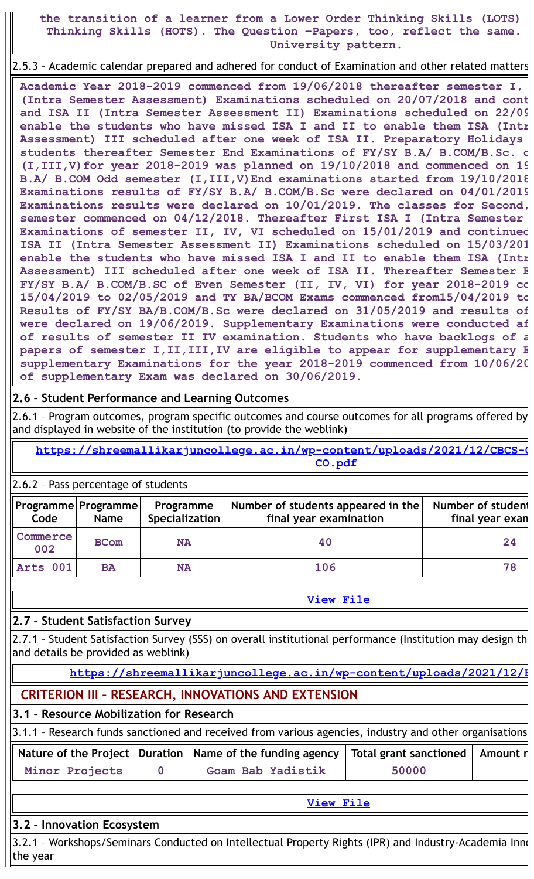**the transition of a learner from a Lower Order Thinking Skills (LOTS) Thinking Skills (HOTS). The Question –Papers, too, reflect the same. University pattern.**

2.5.3 – Academic calendar prepared and adhered for conduct of Examination and other related matters

**Academic Year 2018-2019 commenced from 19/06/2018 thereafter semester I, (Intra Semester Assessment) Examinations scheduled on 20/07/2018 and cont and ISA II (Intra Semester Assessment II) Examinations scheduled on 22/09 enable the students who have missed ISA I and II to enable them ISA (Intr Assessment) III scheduled after one week of ISA II. Preparatory Holidays students thereafter Semester End Examinations of FY/SY B.A/ B.COM/B.Sc. o (I,III,V)for year 2018-2019 was planned on 19/10/2018 and commenced on 19 B.A/ B.COM Odd semester (I,III,V)End examinations started from 19/10/2018 Examinations results of FY/SY B.A/ B.COM/B.Sc were declared on 04/01/2019 Examinations results were declared on 10/01/2019. The classes for Second, semester commenced on 04/12/2018. Thereafter First ISA I (Intra Semester Examinations of semester II, IV, VI scheduled on 15/01/2019 and continued ISA II (Intra Semester Assessment II) Examinations scheduled on 15/03/201 enable the students who have missed ISA I and II to enable them ISA (Intr Assessment) III scheduled after one week of ISA II. Thereafter Semester E FY/SY B.A/ B.COM/B.SC of Even Semester (II, IV, VI) for year 2018-2019 co 15/04/2019 to 02/05/2019 and TY BA/BCOM Exams commenced from15/04/2019 to Results of FY/SY BA/B.COM/B.Sc were declared on 31/05/2019 and results of were declared on 19/06/2019. Supplementary Examinations were conducted af of results of semester II IV examination. Students who have backlogs of a papers of semester I,II,III,IV are eligible to appear for supplementary E supplementary Examinations for the year 2018-2019 commenced from 10/06/20 of supplementary Exam was declared on 30/06/2019.**

### **2.6 – Student Performance and Learning Outcomes**

2.6.1 – Program outcomes, program specific outcomes and course outcomes for all programs offered by and displayed in website of the institution (to provide the weblink)

**[https://shreemallikarjuncollege.ac.in/wp-content/uploads/2021/12/CBCS-C](https://shreemallikarjuncollege.ac.in/wp-content/uploads/2021/12/CBCS-Combined-PO-PSO-CO.pdf) CO.pdf**

2.6.2 – Pass percentage of students

| Code            | Programme Programme <br><b>Name</b> | Programme<br>Specialization | Number of students appeared in the<br>final year examination | Number of student<br>final year exan |
|-----------------|-------------------------------------|-----------------------------|--------------------------------------------------------------|--------------------------------------|
| Commerce<br>002 | <b>BCom</b>                         | <b>NA</b>                   | 40                                                           | 24                                   |
| Arts 001        | <b>BA</b>                           | <b>NA</b>                   | 106                                                          | 78                                   |

**2.7 – Student Satisfaction Survey**

2.7.1 - Student Satisfaction Survey (SSS) on overall institutional performance (Institution may design the and details be provided as weblink)

### **[https://shreemallikarjuncollege.ac.in/wp-content/uploads/2021/12/F](https://shreemallikarjuncollege.ac.in/wp-content/uploads/2021/12/FA-18-19.pdf)**

**CRITERION III – RESEARCH, INNOVATIONS AND EXTENSION**

### **3.1 – Resource Mobilization for Research**

| 3.1.1 - Research funds sanctioned and received from various agencies, industry and other organisations |  |                                                                                                   |       |  |  |
|--------------------------------------------------------------------------------------------------------|--|---------------------------------------------------------------------------------------------------|-------|--|--|
|                                                                                                        |  | Nature of the Project   Duration   Name of the funding agency   Total grant sanctioned   Amount r |       |  |  |
| Minor Projects                                                                                         |  | Goam Bab Yadistik                                                                                 | 50000 |  |  |

| MINOL Projects | GOAM BAD IAQISTIK |  |
|----------------|-------------------|--|
|                |                   |  |
|                |                   |  |

#### **[View](https://assessmentonline.naac.gov.in/public/Postacc/Research_Fund/5336_Research_Fund_1639635827.xlsx) File**

**[View](https://assessmentonline.naac.gov.in/public/Postacc/Pass_percentage/5336_Pass_percentage_1639637802.xlsx) File**

### **3.2 – Innovation Ecosystem**

3.2.1 - Workshops/Seminars Conducted on Intellectual Property Rights (IPR) and Industry-Academia Inno the year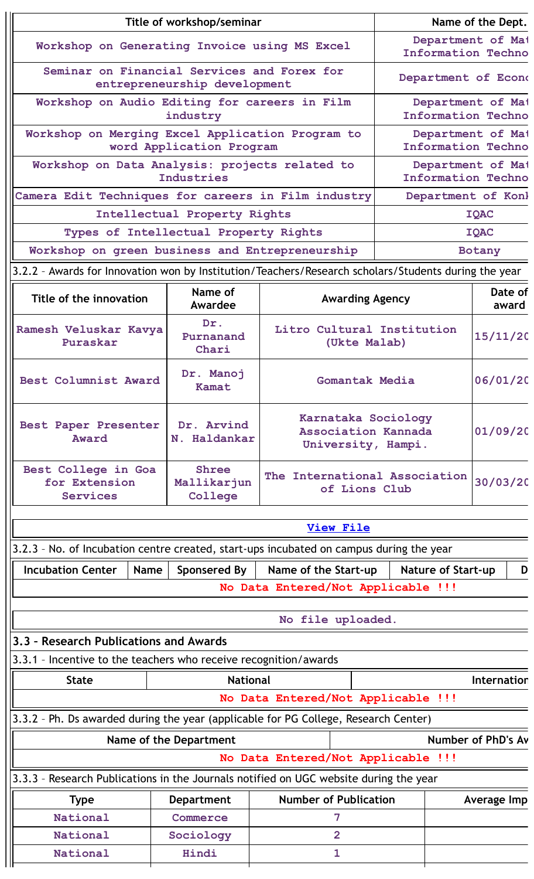| Title of workshop/seminar                                                                            |                                               |                                                                             |                                                                  | Name of the Dept.                              |                                                |                  |  |
|------------------------------------------------------------------------------------------------------|-----------------------------------------------|-----------------------------------------------------------------------------|------------------------------------------------------------------|------------------------------------------------|------------------------------------------------|------------------|--|
|                                                                                                      | Workshop on Generating Invoice using MS Excel |                                                                             |                                                                  |                                                | Department of Mai<br><b>Information Techno</b> |                  |  |
|                                                                                                      |                                               | Seminar on Financial Services and Forex for<br>entrepreneurship development |                                                                  | Department of Econd                            |                                                |                  |  |
| Workshop on Audio Editing for careers in Film                                                        |                                               | industry                                                                    |                                                                  | Department of Mai<br><b>Information Techno</b> |                                                |                  |  |
| Workshop on Merging Excel Application Program to                                                     |                                               |                                                                             |                                                                  | Department of Mai                              |                                                |                  |  |
|                                                                                                      |                                               | word Application Program                                                    |                                                                  |                                                | <b>Information Techno</b>                      |                  |  |
| Workshop on Data Analysis: projects related to                                                       |                                               | Industries                                                                  |                                                                  | Department of Mai<br><b>Information Techno</b> |                                                |                  |  |
| Camera Edit Techniques for careers in Film industry                                                  |                                               |                                                                             |                                                                  | Department of Konl                             |                                                |                  |  |
|                                                                                                      |                                               | Intellectual Property Rights                                                |                                                                  |                                                | <b>IQAC</b>                                    |                  |  |
|                                                                                                      |                                               | Types of Intellectual Property Rights                                       |                                                                  |                                                | <b>IQAC</b>                                    |                  |  |
| Workshop on green business and Entrepreneurship                                                      |                                               |                                                                             |                                                                  |                                                | Botany                                         |                  |  |
| 3.2.2 - Awards for Innovation won by Institution/Teachers/Research scholars/Students during the year |                                               |                                                                             |                                                                  |                                                |                                                |                  |  |
| Title of the innovation                                                                              |                                               | Name of<br>Awardee                                                          | <b>Awarding Agency</b>                                           |                                                |                                                | Date of<br>award |  |
| Ramesh Veluskar Kavya<br>Puraskar                                                                    |                                               | Dr.<br>Purnanand<br>Chari                                                   | Litro Cultural Institution<br>(Ukte Malab)                       |                                                | 15/11/20                                       |                  |  |
| Best Columnist Award                                                                                 |                                               | Dr. Manoj<br>Kamat                                                          | Gomantak Media                                                   |                                                | 06/01/20                                       |                  |  |
| Best Paper Presenter<br>Award                                                                        |                                               | Dr. Arvind<br>N. Haldankar                                                  | Karnataka Sociology<br>Association Kannada<br>University, Hampi. |                                                | 01/09/20                                       |                  |  |
| Best College in Goa<br>for Extension<br><b>Services</b>                                              |                                               | <b>Shree</b><br>Mallikarjun<br>College                                      | The International Association<br>of Lions Club                   |                                                | 30/03/20                                       |                  |  |
|                                                                                                      |                                               |                                                                             | <u>View File</u>                                                 |                                                |                                                |                  |  |
| 3.2.3 - No. of Incubation centre created, start-ups incubated on campus during the year              |                                               |                                                                             |                                                                  |                                                |                                                |                  |  |
| <b>Incubation Center</b>                                                                             | <b>Name</b>                                   | Sponsered By                                                                | Name of the Start-up                                             | <b>Nature of Start-up</b>                      |                                                | D                |  |
|                                                                                                      |                                               |                                                                             | No Data Entered/Not Applicable !!!                               |                                                |                                                |                  |  |
|                                                                                                      |                                               |                                                                             | No file uploaded.                                                |                                                |                                                |                  |  |
| 3.3 - Research Publications and Awards                                                               |                                               |                                                                             |                                                                  |                                                |                                                |                  |  |
| 3.3.1 - Incentive to the teachers who receive recognition/awards                                     |                                               |                                                                             |                                                                  |                                                |                                                |                  |  |
| <b>State</b>                                                                                         |                                               | <b>National</b>                                                             |                                                                  |                                                | Internation                                    |                  |  |
|                                                                                                      |                                               |                                                                             | No Data Entered/Not Applicable !!!                               |                                                |                                                |                  |  |
| 3.3.2 - Ph. Ds awarded during the year (applicable for PG College, Research Center)                  |                                               |                                                                             |                                                                  |                                                |                                                |                  |  |
|                                                                                                      |                                               | Name of the Department                                                      |                                                                  | Number of PhD's Av                             |                                                |                  |  |
|                                                                                                      |                                               |                                                                             | No Data Entered/Not Applicable !!!                               |                                                |                                                |                  |  |
| 3.3.3 - Research Publications in the Journals notified on UGC website during the year                |                                               |                                                                             |                                                                  |                                                |                                                |                  |  |
| Type                                                                                                 |                                               | <b>Department</b>                                                           | <b>Number of Publication</b>                                     |                                                | Average Imp                                    |                  |  |
| National                                                                                             |                                               | Commerce                                                                    | 7                                                                |                                                |                                                |                  |  |
| National                                                                                             |                                               | Sociology                                                                   | $\overline{2}$                                                   |                                                |                                                |                  |  |
| National                                                                                             | Hindi<br>$\mathbf{1}$                         |                                                                             |                                                                  |                                                |                                                |                  |  |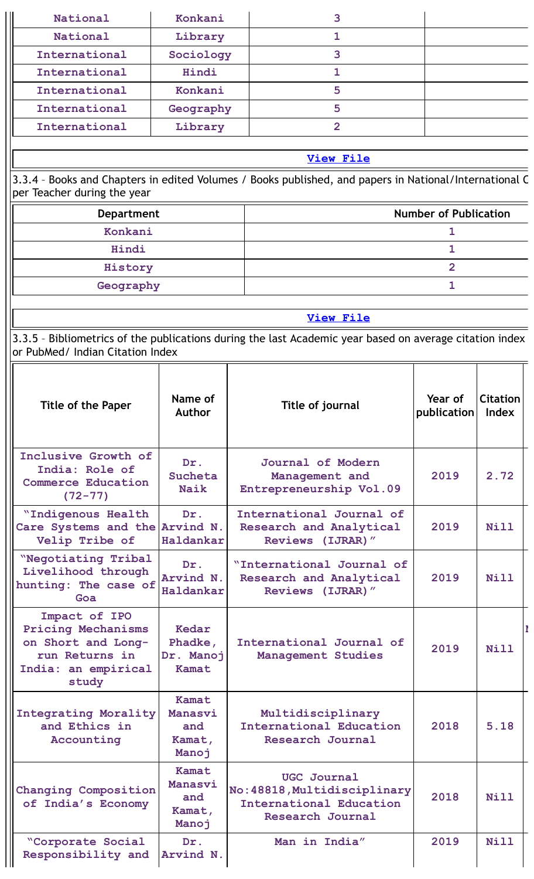| National                                                                                                           | Konkani                                    | 3                                                                                                       |                              |                          |
|--------------------------------------------------------------------------------------------------------------------|--------------------------------------------|---------------------------------------------------------------------------------------------------------|------------------------------|--------------------------|
| National                                                                                                           | Library                                    | 1                                                                                                       |                              |                          |
| International                                                                                                      | Sociology                                  | 3                                                                                                       |                              |                          |
| International                                                                                                      | Hindi                                      | 1                                                                                                       |                              |                          |
| International                                                                                                      | Konkani                                    | 5                                                                                                       |                              |                          |
| International                                                                                                      | Geography                                  | 5                                                                                                       |                              |                          |
| International                                                                                                      | Library                                    | $\overline{2}$                                                                                          |                              |                          |
|                                                                                                                    |                                            |                                                                                                         |                              |                          |
|                                                                                                                    |                                            | <b>View File</b>                                                                                        |                              |                          |
| per Teacher during the year                                                                                        |                                            | 3.3.4 - Books and Chapters in edited Volumes / Books published, and papers in National/International C  |                              |                          |
| <b>Department</b>                                                                                                  |                                            |                                                                                                         | <b>Number of Publication</b> |                          |
| Konkani                                                                                                            |                                            |                                                                                                         | 1                            |                          |
| Hindi                                                                                                              |                                            |                                                                                                         | 1                            |                          |
| History                                                                                                            |                                            |                                                                                                         | $\overline{2}$               |                          |
| Geography                                                                                                          |                                            |                                                                                                         | 1                            |                          |
|                                                                                                                    |                                            | <b>View File</b>                                                                                        |                              |                          |
|                                                                                                                    |                                            | 3.3.5 - Bibliometrics of the publications during the last Academic year based on average citation index |                              |                          |
| or PubMed/ Indian Citation Index                                                                                   |                                            |                                                                                                         |                              |                          |
| Title of the Paper                                                                                                 | Name of<br><b>Author</b>                   | Title of journal                                                                                        | Year of<br>publication       | <b>Citation</b><br>Index |
| Inclusive Growth of<br>India: Role of<br><b>Commerce Education</b><br>$(72 - 77)$                                  | Dr.<br>Sucheta<br><b>Naik</b>              | Journal of Modern<br>Management and<br>Entrepreneurship Vol.09                                          | 2019                         | 2.72                     |
| "Indigenous Health<br>Care Systems and the Arvind N.<br>Velip Tribe of                                             | Dr.<br>Haldankar                           | International Journal of<br>Research and Analytical<br>Reviews (IJRAR)"                                 | 2019                         | <b>Nill</b>              |
| "Negotiating Tribal<br>Livelihood through<br>hunting: The case of<br>Goa                                           | Dr.<br>Arvind N.<br>Haldankar              | "International Journal of<br>Research and Analytical<br>Reviews (IJRAR)"                                | 2019                         | Nill                     |
| Impact of IPO<br><b>Pricing Mechanisms</b><br>on Short and Long-<br>run Returns in<br>India: an empirical<br>study | Kedar<br>Phadke,<br>Dr. Manoj<br>Kamat     | International Journal of<br>Management Studies                                                          | 2019                         | Nill                     |
| <b>Integrating Morality</b><br>and Ethics in<br>Accounting                                                         | Kamat<br>Manasvi<br>and<br>Kamat,<br>Manoj | Multidisciplinary<br>International Education<br><b>Research Journal</b>                                 | 2018                         | 5.18                     |
| Changing Composition<br>of India's Economy                                                                         | Kamat<br>Manasvi<br>and<br>Kamat,<br>Manoj | <b>UGC Journal</b><br>No: 48818, Multidisciplinary<br>International Education<br>Research Journal       | 2018                         | Nill                     |
| "Corporate Social<br>Responsibility and                                                                            | Dr.<br>Arvind N.                           | Man in India"                                                                                           | 2019                         | <b>Nill</b>              |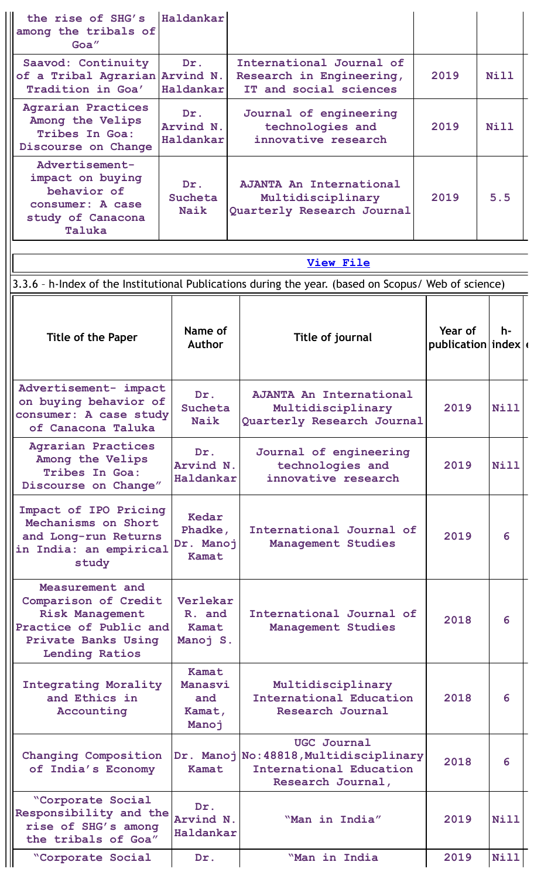| the rise of SHG's<br>among the tribals of<br>Goa"                                                                                           | Haldankar                                  |                                                                                                              |                                |             |
|---------------------------------------------------------------------------------------------------------------------------------------------|--------------------------------------------|--------------------------------------------------------------------------------------------------------------|--------------------------------|-------------|
| Saavod: Continuity<br>of a Tribal Agrarian Arvind N.<br>Tradition in Goa'                                                                   | Dr.<br>Haldankar                           | International Journal of<br>Research in Engineering,<br>IT and social sciences                               |                                | Nill        |
| <b>Agrarian Practices</b><br>Among the Velips<br>Tribes In Goa:<br>Discourse on Change                                                      | Dr.<br>Arvind N.<br>Haldankar              | Journal of engineering<br>technologies and<br>innovative research                                            | 2019                           | Nill        |
| Advertisement-<br>impact on buying<br>behavior of<br>consumer: A case<br>study of Canacona<br>Taluka                                        | Dr.<br>Sucheta<br>Naik                     | <b>AJANTA An International</b><br>Multidisciplinary<br>Quarterly Research Journal                            | 2019                           | 5.5         |
|                                                                                                                                             |                                            | <b>View File</b>                                                                                             |                                |             |
|                                                                                                                                             |                                            | 3.3.6 - h-Index of the Institutional Publications during the year. (based on Scopus/ Web of science)         |                                |             |
| <b>Title of the Paper</b>                                                                                                                   | Name of<br><b>Author</b>                   | Title of journal                                                                                             | Year of<br>publication $index$ | h-          |
| Advertisement- impact<br>on buying behavior of<br>consumer: A case study<br>of Canacona Taluka                                              | Dr.<br>Sucheta<br>Naik                     | <b>AJANTA An International</b><br>Multidisciplinary<br>Quarterly Research Journal                            | 2019                           | Nill        |
| <b>Agrarian Practices</b><br>Among the Velips<br>Tribes In Goa:<br>Discourse on Change"                                                     | Dr.<br>Arvind N.<br>Haldankar              | Journal of engineering<br>technologies and<br>innovative research                                            | 2019                           | Nill        |
| Impact of IPO Pricing<br>Mechanisms on Short<br>and Long-run Returns<br>in India: an empirical<br>study                                     | Kedar<br>Phadke,<br>Dr. Manoj<br>Kamat     | International Journal of<br>Management Studies                                                               | 2019                           | 6           |
| Measurement and<br>Comparison of Credit<br><b>Risk Management</b><br>Practice of Public and<br>Private Banks Using<br><b>Lending Ratios</b> | Verlekar<br>R. and<br>Kamat<br>Manoj S.    | International Journal of<br>Management Studies                                                               | 2018                           | 6           |
| <b>Integrating Morality</b><br>and Ethics in<br>Accounting                                                                                  | Kamat<br>Manasvi<br>and<br>Kamat,<br>Manoj | Multidisciplinary<br><b>International Education</b><br>Research Journal                                      | 2018                           | 6           |
| Changing Composition<br>of India's Economy                                                                                                  | Kamat                                      | <b>UGC Journal</b><br>Dr. Manoj No: 48818, Multidisciplinary<br>International Education<br>Research Journal, | 2018                           | 6           |
| <i><b>"Corporate Social</b></i><br>Responsibility and the<br>rise of SHG's among<br>the tribals of Goa"                                     | Dr.<br>Arvind N.<br>Haldankar              | "Man in India"                                                                                               | 2019                           | <b>Nill</b> |
| <i><b>"Corporate Social</b></i>                                                                                                             | Dr.                                        | "Man in India                                                                                                | 2019                           | <b>Nill</b> |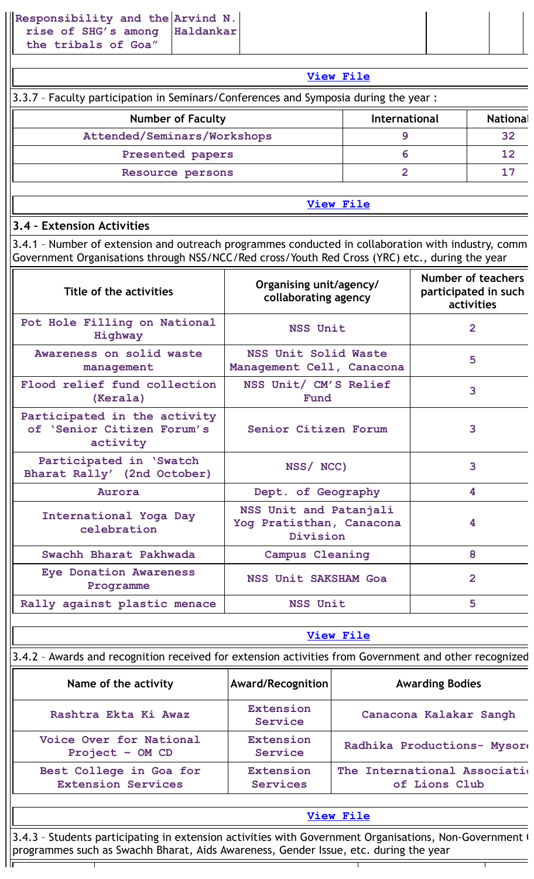| View File                                                                            |               |                 |  |  |  |  |
|--------------------------------------------------------------------------------------|---------------|-----------------|--|--|--|--|
| 3.3.7 - Faculty participation in Seminars/Conferences and Symposia during the year : |               |                 |  |  |  |  |
| <b>Number of Faculty</b>                                                             | International | <b>National</b> |  |  |  |  |
| Attended/Seminars/Workshops                                                          |               | 32              |  |  |  |  |
| Presented papers                                                                     | 6             | 12              |  |  |  |  |
| Resource persons                                                                     |               |                 |  |  |  |  |

### **3.4 – Extension Activities**

3.4.1 – Number of extension and outreach programmes conducted in collaboration with industry, comm Government Organisations through NSS/NCC/Red cross/Youth Red Cross (YRC) etc., during the year

| Title of the activities                                                | Organising unit/agency/<br>collaborating agency                | Number of teachers<br>participated in such<br>activities |
|------------------------------------------------------------------------|----------------------------------------------------------------|----------------------------------------------------------|
| Pot Hole Filling on National<br>Highway                                | <b>NSS Unit</b>                                                | $\overline{2}$                                           |
| Awareness on solid waste<br>management                                 | NSS Unit Solid Waste<br>Management Cell, Canacona              | 5                                                        |
| Flood relief fund collection<br>(Kerala)                               | NSS Unit/ CM'S Relief<br>Fund                                  | 3                                                        |
| Participated in the activity<br>of 'Senior Citizen Forum's<br>activity | Senior Citizen Forum                                           | 3                                                        |
| Participated in 'Swatch<br>Bharat Rally' (2nd October)                 | NSS/ NCC)                                                      | 3                                                        |
| Aurora                                                                 | Dept. of Geography                                             | 4                                                        |
| International Yoga Day<br>celebration                                  | NSS Unit and Patanjali<br>Yog Pratisthan, Canacona<br>Division | 4                                                        |
| Swachh Bharat Pakhwada                                                 | Campus Cleaning                                                | 8                                                        |
| <b>Eye Donation Awareness</b><br>Programme                             | NSS Unit SAKSHAM Goa                                           | $\overline{2}$                                           |
| Rally against plastic menace                                           | NSS Unit                                                       | 5                                                        |

|--|

|  |  | 3.4.2 - Awards and recognition received for extension activities from Government and other recognized |  |  |
|--|--|-------------------------------------------------------------------------------------------------------|--|--|
|  |  |                                                                                                       |  |  |
|  |  |                                                                                                       |  |  |

| Name of the activity                                 | <b>Award/Recognition</b>            | <b>Awarding Bodies</b>                         |
|------------------------------------------------------|-------------------------------------|------------------------------------------------|
| Rashtra Ekta Ki Awaz                                 | Extension<br>Service                | Canacona Kalakar Sangh                         |
| Voice Over for National<br>Project $-$ OM CD         | <b>Extension</b><br>Service         | Radhika Productions- Mysore                    |
| Best College in Goa for<br><b>Extension Services</b> | <b>Extension</b><br><b>Services</b> | The International Association<br>of Lions Club |

### **[View](https://assessmentonline.naac.gov.in/public/Postacc/Awards_for_extension/5336_Awards_for_extension_1639648069.xlsx) File**

3.4.3 - Students participating in extension activities with Government Organisations, Non-Government ( programmes such as Swachh Bharat, Aids Awareness, Gender Issue, etc. during the year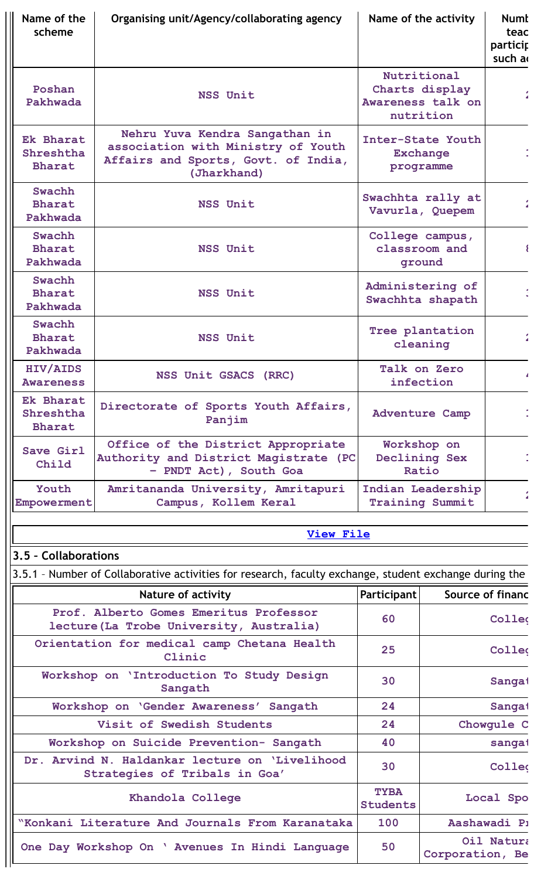| Name of the<br>scheme                          | Organising unit/Agency/collaborating agency                                                                                | Name of the activity                                            | <b>Numt</b><br>teac<br>particip<br>such a |
|------------------------------------------------|----------------------------------------------------------------------------------------------------------------------------|-----------------------------------------------------------------|-------------------------------------------|
| Poshan<br>Pakhwada                             | <b>NSS Unit</b>                                                                                                            | Nutritional<br>Charts display<br>Awareness talk on<br>nutrition |                                           |
| <b>Ek Bharat</b><br>Shreshtha<br><b>Bharat</b> | Nehru Yuva Kendra Sangathan in<br>association with Ministry of Youth<br>Affairs and Sports, Govt. of India,<br>(Jharkhand) | Inter-State Youth<br><b>Exchange</b><br>programme               |                                           |
| Swachh<br><b>Bharat</b><br>Pakhwada            | <b>NSS Unit</b>                                                                                                            | Swachhta rally at<br>Vavurla, Quepem                            |                                           |
| Swachh<br><b>Bharat</b><br>Pakhwada            | NSS Unit                                                                                                                   | College campus,<br>classroom and<br>ground                      | $\{$                                      |
| Swachh<br><b>Bharat</b><br>Pakhwada            | <b>NSS Unit</b>                                                                                                            | Administering of<br>Swachhta shapath                            |                                           |
| Swachh<br><b>Bharat</b><br>Pakhwada            | <b>NSS Unit</b>                                                                                                            | Tree plantation<br>cleaning                                     |                                           |
| <b>HIV/AIDS</b><br><b>Awareness</b>            | NSS Unit GSACS (RRC)                                                                                                       | Talk on Zero<br>infection                                       |                                           |
| Ek Bharat<br>Shreshtha<br><b>Bharat</b>        | Directorate of Sports Youth Affairs,<br>Panjim                                                                             | <b>Adventure Camp</b>                                           |                                           |
| Save Girl<br>Child                             | Office of the District Appropriate<br>Authority and District Magistrate (PC<br>- PNDT Act), South Goa                      | Workshop on<br>Declining Sex<br>Ratio                           |                                           |
| Youth<br>Empowerment                           | Amritananda University, Amritapuri<br>Campus, Kollem Keral                                                                 | Indian Leadership<br><b>Training Summit</b>                     |                                           |

# **3.5 – Collaborations**

3.5.1 - Number of Collaborative activities for research, faculty exchange, student exchange during the

| <b>Nature of activity</b>                                                          | Participant                    | Source of financ              |
|------------------------------------------------------------------------------------|--------------------------------|-------------------------------|
| Prof. Alberto Gomes Emeritus Professor<br>lecture (La Trobe University, Australia) | 60                             | Collec                        |
| Orientation for medical camp Chetana Health<br>Clinic                              | 25                             | Collec                        |
| Workshop on 'Introduction To Study Design<br>Sangath                               | 30                             | Sangai                        |
| Workshop on 'Gender Awareness' Sangath                                             | 24                             | Sangat                        |
| Visit of Swedish Students                                                          | 24                             | Chowgule C                    |
| Workshop on Suicide Prevention- Sangath                                            | 40                             | sangat                        |
| Dr. Arvind N. Haldankar lecture on 'Livelihood<br>Strategies of Tribals in Goa'    | 30                             | Colleg                        |
| Khandola College                                                                   | <b>TYBA</b><br><b>Students</b> | Local Spo                     |
| "Konkani Literature And Journals From Karanataka                                   | 100                            | Aashawadi P1                  |
| One Day Workshop On ' Avenues In Hindi Language                                    | 50                             | Oil Natura<br>Corporation, Be |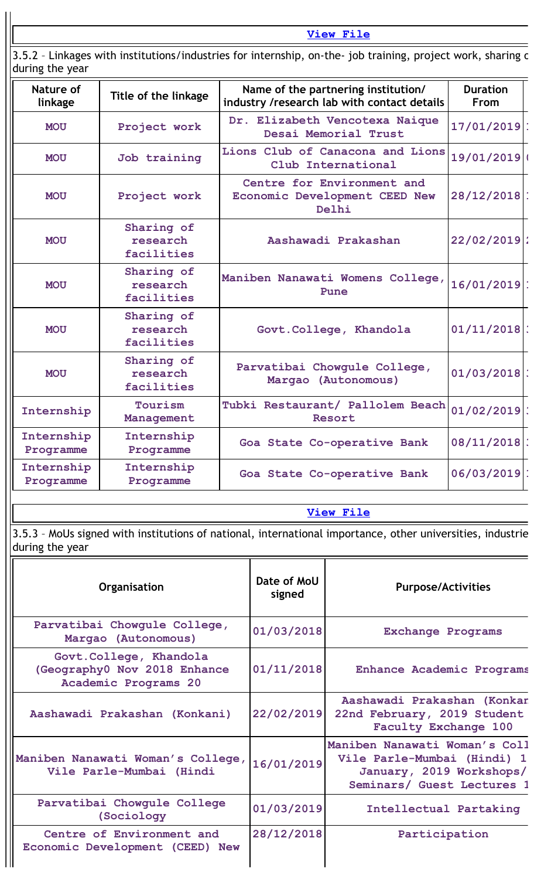3.5.2 – Linkages with institutions/industries for internship, on-the- job training, project work, sharing o during the year

| Nature of<br>linkage    | Title of the linkage                                                                        | Name of the partnering institution/<br>industry /research lab with contact details | <b>Duration</b><br><b>From</b> |
|-------------------------|---------------------------------------------------------------------------------------------|------------------------------------------------------------------------------------|--------------------------------|
| <b>MOU</b>              | Project work                                                                                | Dr. Elizabeth Vencotexa Naique<br>Desai Memorial Trust                             | $17/01/2019$ :                 |
| <b>MOU</b>              | Job training                                                                                | Lions Club of Canacona and Lions<br>Club International                             | 19/01/2019                     |
| <b>MOU</b>              | Project work                                                                                | Centre for Environment and<br>Economic Development CEED New<br>Delhi               | $28/12/2018$ :                 |
| <b>MOU</b>              | Sharing of<br>research<br>facilities                                                        | $22/02/2019$ :<br>Aashawadi Prakashan                                              |                                |
| <b>MOU</b>              | Sharing of<br>research<br>facilities                                                        | Maniben Nanawati Womens College,<br>Pune                                           | $16/01/2019$ :                 |
| <b>MOU</b>              | Sharing of<br>research<br>facilities                                                        | Govt. College, Khandola                                                            | $01/11/2018$ :                 |
| <b>MOU</b>              | Sharing of<br>Parvatibai Chowgule College,<br>research<br>Margao (Autonomous)<br>facilities |                                                                                    | $01/03/2018$ :                 |
| Internship              | Tourism<br>Management                                                                       | Tubki Restaurant/ Pallolem Beach<br>Resort                                         | $01/02/2019$ :                 |
| Internship<br>Programme | Internship<br>Programme                                                                     | Goa State Co-operative Bank                                                        | $08/11/2018$ :                 |
| Internship<br>Programme | Internship<br>Programme                                                                     | Goa State Co-operative Bank                                                        | $06/03/2019$ :                 |

### **[View](https://assessmentonline.naac.gov.in/public/Postacc/Linkages/5336_Linkages_1640663459.xlsx) File**

3.5.3 – MoUs signed with institutions of national, international importance, other universities, industrie during the year

| Organisation                                                                   | Date of MoU<br>signed | <b>Purpose/Activities</b>                                                                                              |
|--------------------------------------------------------------------------------|-----------------------|------------------------------------------------------------------------------------------------------------------------|
| Parvatibai Chowgule College,<br>Margao (Autonomous)                            | 01/03/2018            | <b>Exchange Programs</b>                                                                                               |
| Govt.College, Khandola<br>(Geography0 Nov 2018 Enhance<br>Academic Programs 20 | 01/11/2018            | Enhance Academic Programs                                                                                              |
| Aashawadi Prakashan (Konkani)                                                  | 22/02/2019            | Aashawadi Prakashan (Konkan<br>22nd February, 2019 Student<br><b>Faculty Exchange 100</b>                              |
| Maniben Nanawati Woman's College,<br>Vile Parle-Mumbai (Hindi                  | 16/01/2019            | Maniben Nanawati Woman's Coll<br>Vile Parle-Mumbai (Hindi) 1<br>January, 2019 Workshops/<br>Seminars/ Guest Lectures 1 |
| Parvatibai Chowgule College<br>(Sociology)                                     | 01/03/2019            | Intellectual Partaking                                                                                                 |
| Centre of Environment and<br>Economic Development (CEED) New                   | 28/12/2018            | Participation                                                                                                          |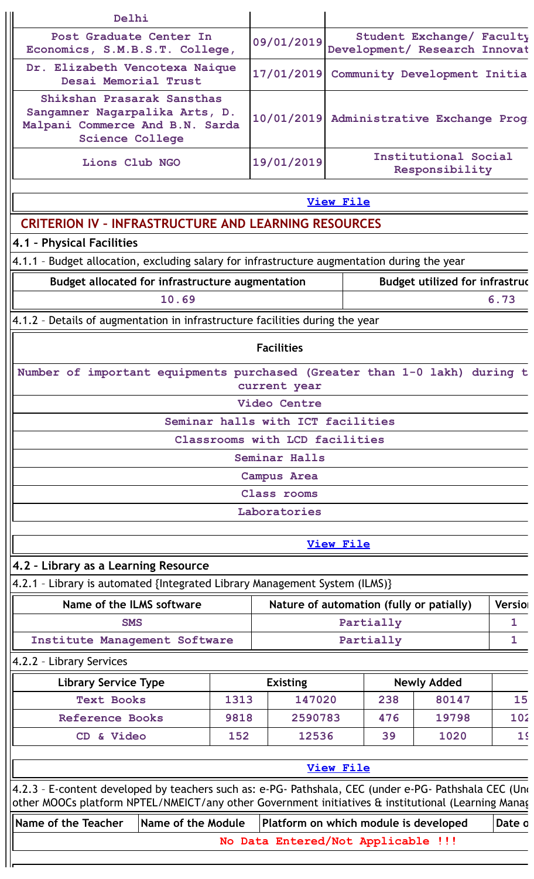| Delhi                                                                                                                     |                    |      |                                       |                  |           |                                                            |                |
|---------------------------------------------------------------------------------------------------------------------------|--------------------|------|---------------------------------------|------------------|-----------|------------------------------------------------------------|----------------|
| Post Graduate Center In<br>Economics, S.M.B.S.T. College,                                                                 |                    |      | 09/01/2019                            |                  |           | Student Exchange/ Faculty<br>Development/ Research Innovat |                |
| Dr. Elizabeth Vencotexa Naique<br>Desai Memorial Trust                                                                    |                    |      | 17/01/2019                            |                  |           | Community Development Initia                               |                |
| Shikshan Prasarak Sansthas<br>Sangamner Nagarpalika Arts, D.<br>Malpani Commerce And B.N. Sarda<br><b>Science College</b> |                    |      | 10/01/2019                            |                  |           | Administrative Exchange Prog                               |                |
| Lions Club NGO                                                                                                            |                    |      | 19/01/2019                            |                  |           | Institutional Social<br>Responsibility                     |                |
|                                                                                                                           |                    |      |                                       | <b>View File</b> |           |                                                            |                |
| <b>CRITERION IV - INFRASTRUCTURE AND LEARNING RESOURCES</b>                                                               |                    |      |                                       |                  |           |                                                            |                |
| 4.1 - Physical Facilities                                                                                                 |                    |      |                                       |                  |           |                                                            |                |
| 4.1.1 - Budget allocation, excluding salary for infrastructure augmentation during the year                               |                    |      |                                       |                  |           |                                                            |                |
| <b>Budget utilized for infrastruc</b><br>Budget allocated for infrastructure augmentation                                 |                    |      |                                       |                  |           |                                                            |                |
| 10.69<br>6.73                                                                                                             |                    |      |                                       |                  |           |                                                            |                |
| 4.1.2 - Details of augmentation in infrastructure facilities during the year                                              |                    |      |                                       |                  |           |                                                            |                |
|                                                                                                                           |                    |      | <b>Facilities</b>                     |                  |           |                                                            |                |
| Number of important equipments purchased (Greater than 1-0 lakh) during t                                                 |                    |      | current year                          |                  |           |                                                            |                |
|                                                                                                                           |                    |      | Video Centre                          |                  |           |                                                            |                |
|                                                                                                                           |                    |      | Seminar halls with ICT facilities     |                  |           |                                                            |                |
|                                                                                                                           |                    |      | Classrooms with LCD facilities        |                  |           |                                                            |                |
|                                                                                                                           |                    |      | Seminar Halls                         |                  |           |                                                            |                |
|                                                                                                                           |                    |      | <b>Campus Area</b>                    |                  |           |                                                            |                |
|                                                                                                                           |                    |      | Class rooms                           |                  |           |                                                            |                |
|                                                                                                                           |                    |      | Laboratories                          |                  |           |                                                            |                |
|                                                                                                                           |                    |      |                                       | <b>View File</b> |           |                                                            |                |
| 4.2 - Library as a Learning Resource                                                                                      |                    |      |                                       |                  |           |                                                            |                |
| 4.2.1 - Library is automated {Integrated Library Management System (ILMS)}                                                |                    |      |                                       |                  |           |                                                            |                |
| Name of the ILMS software                                                                                                 |                    |      |                                       |                  |           | Nature of automation (fully or patially)                   | Versio         |
| <b>SMS</b>                                                                                                                |                    |      |                                       |                  | Partially |                                                            | $\mathbf{1}$   |
| Institute Management Software                                                                                             |                    |      |                                       |                  | Partially |                                                            | 1              |
| 4.2.2 - Library Services                                                                                                  |                    |      |                                       |                  |           |                                                            |                |
| <b>Library Service Type</b>                                                                                               |                    |      | <b>Existing</b>                       |                  |           | <b>Newly Added</b>                                         |                |
| <b>Text Books</b>                                                                                                         |                    | 1313 | 147020                                |                  | 238       | 80147                                                      | 15             |
| <b>Reference Books</b>                                                                                                    |                    | 9818 | 2590783                               |                  | 476       | 19798                                                      | 102            |
| CD & Video                                                                                                                |                    | 152  | 12536                                 |                  | 39        | 1020                                                       | 1 <sup>5</sup> |
|                                                                                                                           |                    |      |                                       |                  |           |                                                            |                |
| View File<br>4.2.3 - E-content developed by teachers such as: e-PG- Pathshala, CEC (under e-PG- Pathshala CEC (Und        |                    |      |                                       |                  |           |                                                            |                |
| other MOOCs platform NPTEL/NMEICT/any other Government initiatives & institutional (Learning Manag                        |                    |      |                                       |                  |           |                                                            |                |
| Name of the Teacher                                                                                                       | Name of the Module |      | Platform on which module is developed |                  |           |                                                            | Date o         |
|                                                                                                                           |                    |      | No Data Entered/Not Applicable !!!    |                  |           |                                                            |                |
|                                                                                                                           |                    |      |                                       |                  |           |                                                            |                |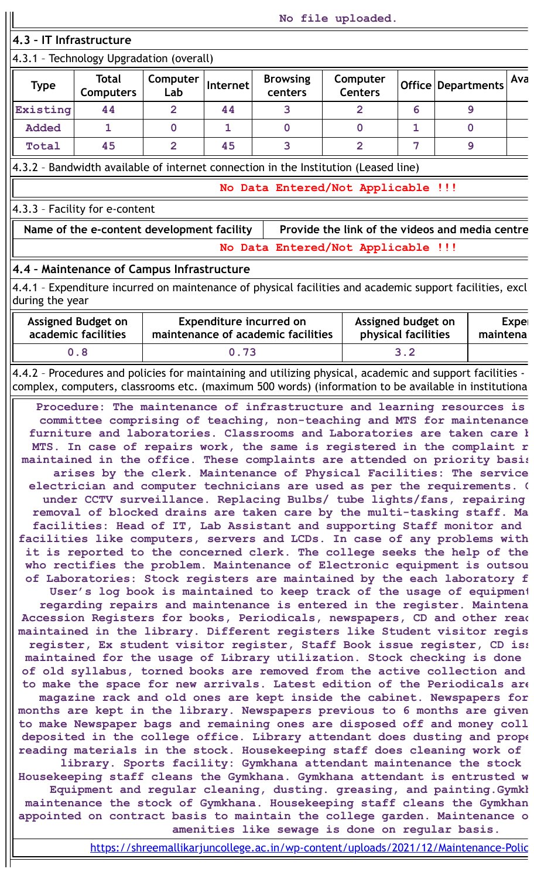**4.3 – IT Infrastructure**

# 4.3.1 – Technology Upgradation (overall)

| <b>Type</b>  | <b>Total</b><br><b>Computers</b> | Computer<br>Lab | Internet | <b>Browsing</b><br>centers | Computer<br><b>Centers</b> |   | Office   Departments | Ava |
|--------------|----------------------------------|-----------------|----------|----------------------------|----------------------------|---|----------------------|-----|
| Existing     | 44                               |                 | 44       |                            |                            | о |                      |     |
| <b>Added</b> |                                  |                 |          |                            |                            |   |                      |     |
| Total        | 45                               |                 | 45       |                            |                            |   |                      |     |

4.3.2 – Bandwidth available of internet connection in the Institution (Leased line)

**No Data Entered/Not Applicable !!!**

4.3.3 – Facility for e-content

Name of the e-content development facility | Provide the link of the videos and media centre **No Data Entered/Not Applicable !!!**

# **4.4 – Maintenance of Campus Infrastructure**

4.4.1 – Expenditure incurred on maintenance of physical facilities and academic support facilities, excl during the year

| <b>Assigned Budget on</b><br>academic facilities | <b>Expenditure incurred on</b><br>Assigned budget on<br>physical facilities<br>maintenance of academic facilities |     | Exper<br>maintena |
|--------------------------------------------------|-------------------------------------------------------------------------------------------------------------------|-----|-------------------|
| 0.8                                              | 0.73                                                                                                              | 3.2 |                   |

4.4.2 – Procedures and policies for maintaining and utilizing physical, academic and support facilities complex, computers, classrooms etc. (maximum 500 words) (information to be available in institutiona

**Procedure: The maintenance of infrastructure and learning resources is committee comprising of teaching, non-teaching and MTS for maintenance furniture and laboratories. Classrooms and Laboratories are taken care b MTS. In case of repairs work, the same is registered in the complaint r maintained in the office. These complaints are attended on priority basis arises by the clerk. Maintenance of Physical Facilities: The service electrician and computer technicians are used as per the requirements. C under CCTV surveillance. Replacing Bulbs/ tube lights/fans, repairing removal of blocked drains are taken care by the multi-tasking staff. Ma facilities: Head of IT, Lab Assistant and supporting Staff monitor and facilities like computers, servers and LCDs. In case of any problems with it is reported to the concerned clerk. The college seeks the help of the who rectifies the problem. Maintenance of Electronic equipment is outsou of Laboratories: Stock registers are maintained by the each laboratory f User's log book is maintained to keep track of the usage of equipment regarding repairs and maintenance is entered in the register. Maintena Accession Registers for books, Periodicals, newspapers, CD and other read maintained in the library. Different registers like Student visitor regis register, Ex student visitor register, Staff Book issue register, CD iss maintained for the usage of Library utilization. Stock checking is done of old syllabus, torned books are removed from the active collection and to make the space for new arrivals. Latest edition of the Periodicals are magazine rack and old ones are kept inside the cabinet. Newspapers for months are kept in the library. Newspapers previous to 6 months are given to make Newspaper bags and remaining ones are disposed off and money coll deposited in the college office. Library attendant does dusting and prope reading materials in the stock. Housekeeping staff does cleaning work of library. Sports facility: Gymkhana attendant maintenance the stock Housekeeping staff cleans the Gymkhana. Gymkhana attendant is entrusted w Equipment and regular cleaning, dusting. greasing, and painting.Gymkh maintenance the stock of Gymkhana. Housekeeping staff cleans the Gymkhan appointed on contract basis to maintain the college garden. Maintenance o amenities like sewage is done on regular basis.**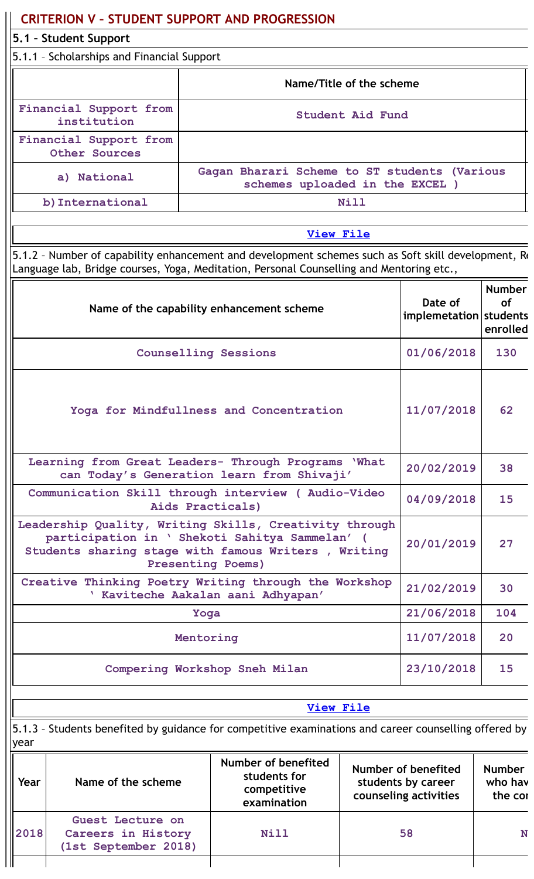|                                         | <b>CRITERION V - STUDENT SUPPORT AND PROGRESSION</b>                                                                                                                                            |           |                                                                          |                          |                                                                    |                                     |
|-----------------------------------------|-------------------------------------------------------------------------------------------------------------------------------------------------------------------------------------------------|-----------|--------------------------------------------------------------------------|--------------------------|--------------------------------------------------------------------|-------------------------------------|
|                                         | 5.1 - Student Support<br>5.1.1 - Scholarships and Financial Support                                                                                                                             |           |                                                                          |                          |                                                                    |                                     |
|                                         |                                                                                                                                                                                                 |           |                                                                          |                          |                                                                    |                                     |
|                                         |                                                                                                                                                                                                 |           |                                                                          | Name/Title of the scheme |                                                                    |                                     |
|                                         | Financial Support from<br>institution                                                                                                                                                           |           |                                                                          | <b>Student Aid Fund</b>  |                                                                    |                                     |
|                                         | Financial Support from<br>Other Sources                                                                                                                                                         |           |                                                                          |                          |                                                                    |                                     |
|                                         | Gagan Bharari Scheme to ST students (Various<br>a) National<br>schemes uploaded in the EXCEL )                                                                                                  |           |                                                                          |                          |                                                                    |                                     |
|                                         | b) International                                                                                                                                                                                |           |                                                                          | Nill                     |                                                                    |                                     |
|                                         |                                                                                                                                                                                                 |           | <b>View File</b>                                                         |                          |                                                                    |                                     |
|                                         | 5.1.2 - Number of capability enhancement and development schemes such as Soft skill development, Re<br>Language lab, Bridge courses, Yoga, Meditation, Personal Counselling and Mentoring etc., |           |                                                                          |                          |                                                                    |                                     |
|                                         |                                                                                                                                                                                                 |           | Name of the capability enhancement scheme                                |                          | Date of<br>implemetation students                                  | <b>Number</b><br>of<br>enrolled     |
| <b>Counselling Sessions</b>             |                                                                                                                                                                                                 |           |                                                                          |                          | 01/06/2018                                                         | 130                                 |
| Yoga for Mindfullness and Concentration |                                                                                                                                                                                                 |           |                                                                          |                          | 11/07/2018                                                         | 62                                  |
|                                         | Learning from Great Leaders- Through Programs 'What                                                                                                                                             |           | can Today's Generation learn from Shivaji'                               |                          | 20/02/2019                                                         | 38                                  |
|                                         | Communication Skill through interview (Audio-Video                                                                                                                                              |           | Aids Practicals)                                                         |                          | 04/09/2018                                                         | 15                                  |
|                                         | Leadership Quality, Writing Skills, Creativity through<br>participation in ' Shekoti Sahitya Sammelan' (<br>Students sharing stage with famous Writers, Writing                                 |           | <b>Presenting Poems)</b>                                                 |                          | 20/01/2019                                                         | 27                                  |
|                                         | Creative Thinking Poetry Writing through the Workshop                                                                                                                                           |           | ' Kaviteche Aakalan aani Adhyapan'                                       |                          | 21/02/2019                                                         | 30                                  |
|                                         |                                                                                                                                                                                                 | Yoga      |                                                                          |                          | 21/06/2018                                                         | 104                                 |
|                                         |                                                                                                                                                                                                 | Mentoring |                                                                          |                          | 11/07/2018                                                         | 20                                  |
|                                         |                                                                                                                                                                                                 |           | Compering Workshop Sneh Milan                                            |                          | 23/10/2018                                                         | 15                                  |
|                                         |                                                                                                                                                                                                 |           | <b>View File</b>                                                         |                          |                                                                    |                                     |
| year                                    | 5.1.3 - Students benefited by guidance for competitive examinations and career counselling offered by                                                                                           |           |                                                                          |                          |                                                                    |                                     |
| Year                                    | Name of the scheme                                                                                                                                                                              |           | <b>Number of benefited</b><br>students for<br>competitive<br>examination |                          | Number of benefited<br>students by career<br>counseling activities | <b>Number</b><br>who hav<br>the cor |
| 2018                                    | Guest Lecture on<br>Careers in History<br>(1st September 2018)                                                                                                                                  |           | <b>Nill</b>                                                              |                          | 58                                                                 | N                                   |
|                                         |                                                                                                                                                                                                 |           |                                                                          |                          |                                                                    |                                     |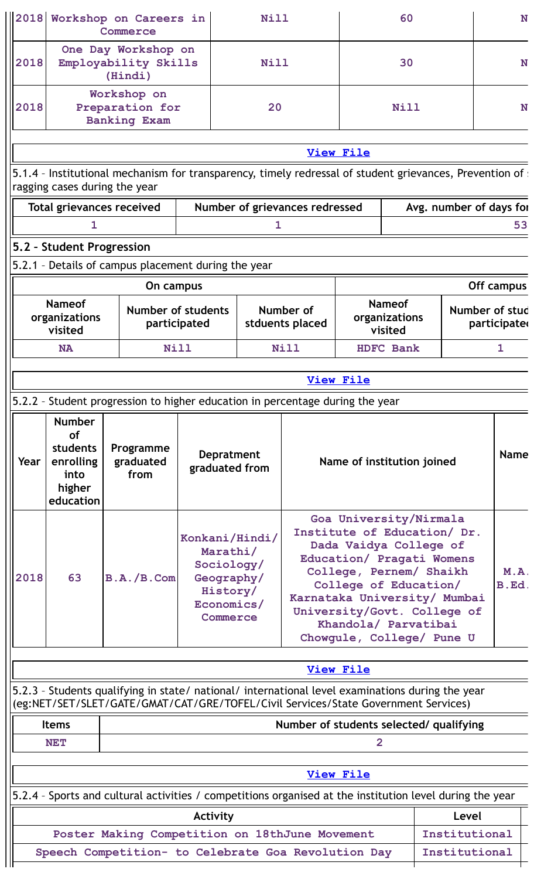| 2018 |                                                                             | Workshop on Careers in<br>Commerce                                                                                                                                                     |                                                                                  | <b>Nill</b> |                                |                                                                                                                                                                                                                                                                                      | 60                                        |                         | N                             |  |
|------|-----------------------------------------------------------------------------|----------------------------------------------------------------------------------------------------------------------------------------------------------------------------------------|----------------------------------------------------------------------------------|-------------|--------------------------------|--------------------------------------------------------------------------------------------------------------------------------------------------------------------------------------------------------------------------------------------------------------------------------------|-------------------------------------------|-------------------------|-------------------------------|--|
| 2018 |                                                                             | One Day Workshop on<br>Employability Skills<br>(Hindi)                                                                                                                                 |                                                                                  | Nill        |                                |                                                                                                                                                                                                                                                                                      | 30                                        |                         | N                             |  |
| 2018 | Workshop on<br>Preparation for<br><b>Banking Exam</b>                       |                                                                                                                                                                                        |                                                                                  | 20          |                                |                                                                                                                                                                                                                                                                                      | Nill                                      |                         | N                             |  |
|      |                                                                             |                                                                                                                                                                                        |                                                                                  |             |                                | <b>View File</b>                                                                                                                                                                                                                                                                     |                                           |                         |                               |  |
|      |                                                                             | 5.1.4 - Institutional mechanism for transparency, timely redressal of student grievances, Prevention of :                                                                              |                                                                                  |             |                                |                                                                                                                                                                                                                                                                                      |                                           |                         |                               |  |
|      |                                                                             | ragging cases during the year                                                                                                                                                          |                                                                                  |             |                                |                                                                                                                                                                                                                                                                                      |                                           |                         |                               |  |
|      |                                                                             | <b>Total grievances received</b>                                                                                                                                                       |                                                                                  |             | Number of grievances redressed |                                                                                                                                                                                                                                                                                      |                                           | Avg. number of days for |                               |  |
|      | 1.                                                                          |                                                                                                                                                                                        |                                                                                  | 1.          |                                |                                                                                                                                                                                                                                                                                      |                                           |                         | 53                            |  |
|      | 5.2 - Student Progression                                                   | 5.2.1 - Details of campus placement during the year                                                                                                                                    |                                                                                  |             |                                |                                                                                                                                                                                                                                                                                      |                                           |                         |                               |  |
|      |                                                                             | On campus                                                                                                                                                                              |                                                                                  |             |                                |                                                                                                                                                                                                                                                                                      |                                           |                         | Off campus                    |  |
|      | <b>Nameof</b><br>organizations<br>visited                                   |                                                                                                                                                                                        | Number of students<br>participated                                               |             | Number of<br>stduents placed   |                                                                                                                                                                                                                                                                                      | <b>Nameof</b><br>organizations<br>visited |                         | Number of stud<br>participate |  |
|      | <b>NA</b>                                                                   | Nill                                                                                                                                                                                   |                                                                                  |             | Nill                           |                                                                                                                                                                                                                                                                                      | <b>HDFC Bank</b>                          |                         | 1                             |  |
|      |                                                                             |                                                                                                                                                                                        |                                                                                  |             |                                | <b>View File</b>                                                                                                                                                                                                                                                                     |                                           |                         |                               |  |
|      |                                                                             | 5.2.2 - Student progression to higher education in percentage during the year                                                                                                          |                                                                                  |             |                                |                                                                                                                                                                                                                                                                                      |                                           |                         |                               |  |
| Year | <b>Number</b><br>of<br>students<br>enrolling<br>into<br>higher<br>education | Programme<br>graduated<br>from                                                                                                                                                         | <b>Depratment</b><br>graduated from                                              |             |                                |                                                                                                                                                                                                                                                                                      | Name of institution joined                |                         | <b>Name</b>                   |  |
| 2018 | 63                                                                          | B.A./B.Com                                                                                                                                                                             | Konkani/Hindi/<br>Marathi/<br>Sociology/<br>Geography/<br>Economics/<br>Commerce | History/    |                                | Goa University/Nirmala<br>Institute of Education/ Dr.<br>Dada Vaidya College of<br>Education/ Pragati Womens<br>College, Pernem/ Shaikh<br>College of Education/<br>Karnataka University/ Mumbai<br>University/Govt. College of<br>Khandola/ Parvatibai<br>Chowgule, College/ Pune U |                                           |                         | M.A.<br>B.Ed.                 |  |
|      |                                                                             |                                                                                                                                                                                        |                                                                                  |             |                                | <b>View File</b>                                                                                                                                                                                                                                                                     |                                           |                         |                               |  |
|      |                                                                             | 5.2.3 - Students qualifying in state/ national/ international level examinations during the year<br>(eg:NET/SET/SLET/GATE/GMAT/CAT/GRE/TOFEL/Civil Services/State Government Services) |                                                                                  |             |                                |                                                                                                                                                                                                                                                                                      |                                           |                         |                               |  |
|      | <b>Items</b>                                                                |                                                                                                                                                                                        |                                                                                  |             |                                |                                                                                                                                                                                                                                                                                      | Number of students selected/ qualifying   |                         |                               |  |
|      | <b>NET</b>                                                                  |                                                                                                                                                                                        |                                                                                  |             |                                | $\overline{2}$                                                                                                                                                                                                                                                                       |                                           |                         |                               |  |
|      |                                                                             |                                                                                                                                                                                        |                                                                                  |             |                                |                                                                                                                                                                                                                                                                                      |                                           |                         |                               |  |
|      |                                                                             | 5.2.4 - Sports and cultural activities / competitions organised at the institution level during the year                                                                               |                                                                                  |             |                                | <b>View File</b>                                                                                                                                                                                                                                                                     |                                           |                         |                               |  |
|      |                                                                             |                                                                                                                                                                                        | Activity                                                                         |             |                                |                                                                                                                                                                                                                                                                                      |                                           | Level                   |                               |  |
|      |                                                                             | Poster Making Competition on 18thJune Movement                                                                                                                                         |                                                                                  |             |                                |                                                                                                                                                                                                                                                                                      |                                           | Institutional           |                               |  |
|      |                                                                             | Speech Competition- to Celebrate Goa Revolution Day                                                                                                                                    |                                                                                  |             |                                |                                                                                                                                                                                                                                                                                      |                                           | Institutional           |                               |  |
|      |                                                                             |                                                                                                                                                                                        |                                                                                  |             |                                |                                                                                                                                                                                                                                                                                      |                                           |                         |                               |  |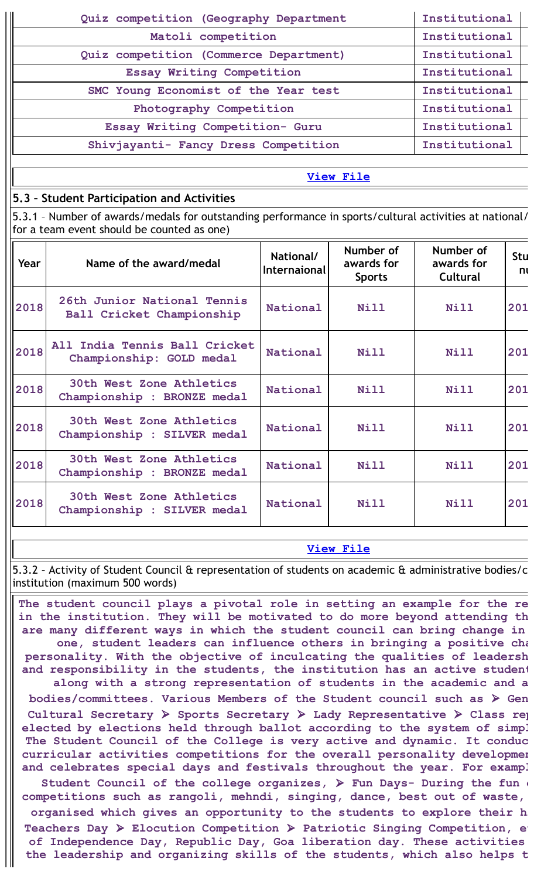| Quiz competition (Geography Department | Institutional |
|----------------------------------------|---------------|
| Matoli competition                     | Institutional |
| Quiz competition (Commerce Department) | Institutional |
| Essay Writing Competition              | Institutional |
| SMC Young Economist of the Year test   | Institutional |
| Photography Competition                | Institutional |
| Essay Writing Competition- Guru        | Institutional |
| Shivjayanti- Fancy Dress Competition   | Institutional |
|                                        |               |

### **5.3 – Student Participation and Activities**

5.3.1 – Number of awards/medals for outstanding performance in sports/cultural activities at national/ for a team event should be counted as one)

| Year | Name of the award/medal                                   | National/<br><b>Internaional</b> | Number of<br>awards for<br><b>Sports</b> | Number of<br>awards for<br>Cultural | Stu<br>nı |
|------|-----------------------------------------------------------|----------------------------------|------------------------------------------|-------------------------------------|-----------|
| 2018 | 26th Junior National Tennis<br>Ball Cricket Championship  | National                         | <b>Nill</b>                              | <b>Nill</b>                         | 201       |
| 2018 | All India Tennis Ball Cricket<br>Championship: GOLD medal | National                         | Nill                                     | Nill                                | 201       |
| 2018 | 30th West Zone Athletics<br>Championship : BRONZE medal   | National                         | <b>Nill</b>                              | <b>Nill</b>                         | 201       |
| 2018 | 30th West Zone Athletics<br>Championship : SILVER medal   | National                         | Nill                                     | Nill                                | 201       |
| 2018 | 30th West Zone Athletics<br>Championship : BRONZE medal   | National                         | <b>Nill</b>                              | Nill                                | 201       |
| 2018 | 30th West Zone Athletics<br>Championship : SILVER medal   | National                         | <b>Nill</b>                              | Nill                                | 201       |

#### **[View](https://assessmentonline.naac.gov.in/public/Postacc/awards_in_activities/5336_awards_in_activities_1640169865.xlsx) File**

5.3.2 – Activity of Student Council & representation of students on academic & administrative bodies/c institution (maximum 500 words)

**The student council plays a pivotal role in setting an example for the re in the institution. They will be motivated to do more beyond attending th are many different ways in which the student council can bring change in one, student leaders can influence others in bringing a positive cha personality. With the objective of inculcating the qualities of leadersh and responsibility in the students, the institution has an active student along with a strong representation of students in the academic and a bodies/committees. Various Members of the Student council such as** ⮚ **Gen Cultural Secretary** ⮚ **Sports Secretary** ⮚ **Lady Representative** ⮚ **Class rep elected by elections held through ballot according to the system of simpl The Student Council of the College is very active and dynamic. It conduc curricular activities competitions for the overall personality developmen and celebrates special days and festivals throughout the year. For exampl**

Student Council of the college organizes,  $\triangleright$  Fun Days- During the fun **competitions such as rangoli, mehndi, singing, dance, best out of waste, organised which gives an opportunity to the students to explore their hi Teachers Day** ⮚ **Elocution Competition** ⮚ **Patriotic Singing Competition, et of Independence Day, Republic Day, Goa liberation day. These activities the leadership and organizing skills of the students, which also helps t**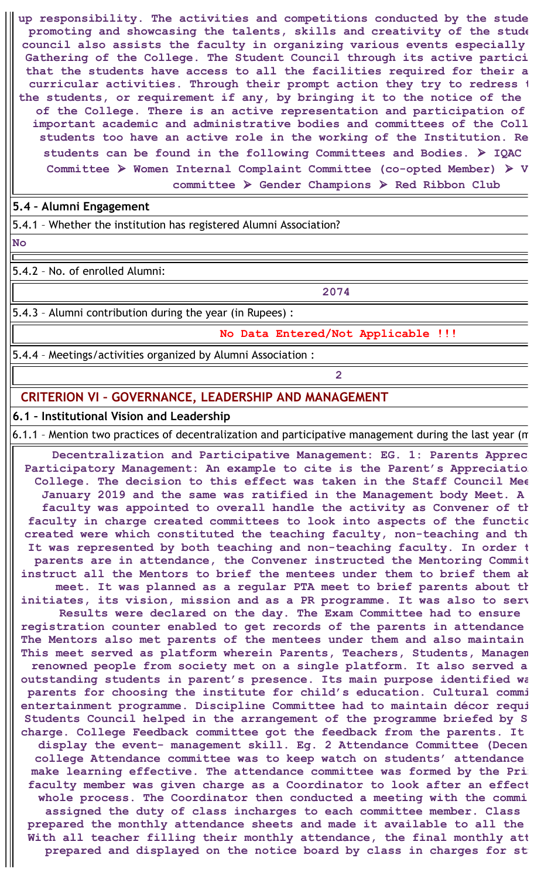**up responsibility. The activities and competitions conducted by the stude promoting and showcasing the talents, skills and creativity of the stude council also assists the faculty in organizing various events especially Gathering of the College. The Student Council through its active partici that the students have access to all the facilities required for their a curricular activities. Through their prompt action they try to redress t the students, or requirement if any, by bringing it to the notice of the of the College. There is an active representation and participation of important academic and administrative bodies and committees of the Coll students too have an active role in the working of the Institution. Re students can be found in the following Committees and Bodies.** ⮚ **IQAC Committee** ⮚ **Women Internal Complaint Committee (co-opted Member)** ⮚ **V committee** ⮚ **Gender Champions** ⮚ **Red Ribbon Club**

#### **5.4 – Alumni Engagement**

5.4.1 – Whether the institution has registered Alumni Association?

**No**

5.4.2 – No. of enrolled Alumni:

**2074**

5.4.3 – Alumni contribution during the year (in Rupees) :

**No Data Entered/Not Applicable !!!**

5.4.4 – Meetings/activities organized by Alumni Association :

**2**

### **CRITERION VI – GOVERNANCE, LEADERSHIP AND MANAGEMENT**

### **6.1 – Institutional Vision and Leadership**

6.1.1 – Mention two practices of decentralization and participative management during the last year (m

**Decentralization and Participative Management: EG. 1: Parents Apprec Participatory Management: An example to cite is the Parent's Appreciation College. The decision to this effect was taken in the Staff Council Mee January 2019 and the same was ratified in the Management body Meet. A faculty was appointed to overall handle the activity as Convener of th faculty in charge created committees to look into aspects of the functio created were which constituted the teaching faculty, non-teaching and th It was represented by both teaching and non-teaching faculty. In order t parents are in attendance, the Convener instructed the Mentoring Commit instruct all the Mentors to brief the mentees under them to brief them ab meet. It was planned as a regular PTA meet to brief parents about th initiates, its vision, mission and as a PR programme. It was also to serv Results were declared on the day. The Exam Committee had to ensure registration counter enabled to get records of the parents in attendance The Mentors also met parents of the mentees under them and also maintain This meet served as platform wherein Parents, Teachers, Students, Managem renowned people from society met on a single platform. It also served a outstanding students in parent's presence. Its main purpose identified wa parents for choosing the institute for child's education. Cultural commi entertainment programme. Discipline Committee had to maintain décor requi Students Council helped in the arrangement of the programme briefed by S charge. College Feedback committee got the feedback from the parents. It display the event- management skill. Eg. 2 Attendance Committee (Decen college Attendance committee was to keep watch on students' attendance make learning effective. The attendance committee was formed by the Prin faculty member was given charge as a Coordinator to look after an effect whole process. The Coordinator then conducted a meeting with the commi assigned the duty of class incharges to each committee member. Class prepared the monthly attendance sheets and made it available to all the With all teacher filling their monthly attendance, the final monthly att prepared and displayed on the notice board by class in charges for stu**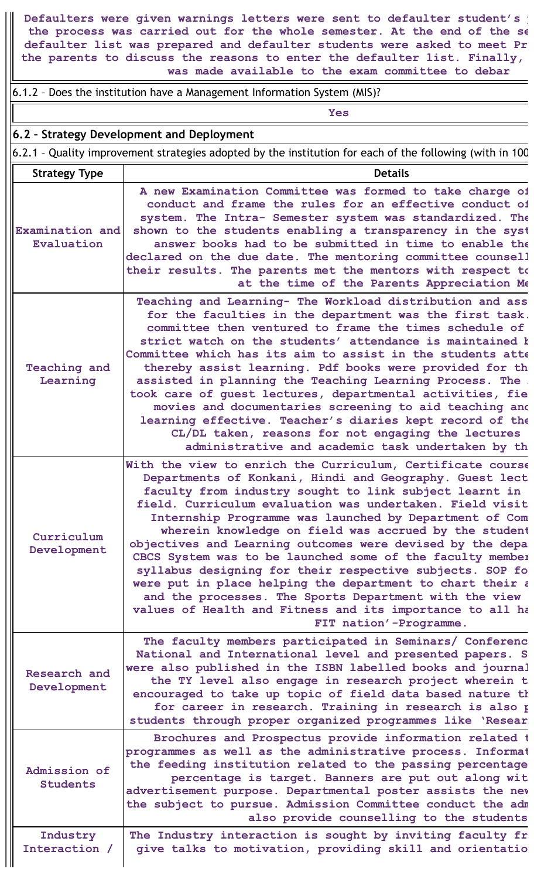**Defaulters were given warnings letters were sent to defaulter student's p the process was carried out for the whole semester. At the end of the se defaulter list was prepared and defaulter students were asked to meet Pr the parents to discuss the reasons to enter the defaulter list. Finally, was made available to the exam committee to debar**

6.1.2 – Does the institution have a Management Information System (MIS)?

 $\overline{\mathsf{r}}$ 

|                                 | <b>Yes</b>                                                                                                                                                                                                                                                                                                                                                                                                                                                                                                                                                                                                                                                                                                                                                         |
|---------------------------------|--------------------------------------------------------------------------------------------------------------------------------------------------------------------------------------------------------------------------------------------------------------------------------------------------------------------------------------------------------------------------------------------------------------------------------------------------------------------------------------------------------------------------------------------------------------------------------------------------------------------------------------------------------------------------------------------------------------------------------------------------------------------|
|                                 | 6.2 - Strategy Development and Deployment                                                                                                                                                                                                                                                                                                                                                                                                                                                                                                                                                                                                                                                                                                                          |
|                                 | 6.2.1 - Quality improvement strategies adopted by the institution for each of the following (with in 100                                                                                                                                                                                                                                                                                                                                                                                                                                                                                                                                                                                                                                                           |
| <b>Strategy Type</b>            | <b>Details</b>                                                                                                                                                                                                                                                                                                                                                                                                                                                                                                                                                                                                                                                                                                                                                     |
| Examination and<br>Evaluation   | A new Examination Committee was formed to take charge of<br>conduct and frame the rules for an effective conduct of<br>system. The Intra- Semester system was standardized. The<br>shown to the students enabling a transparency in the syst<br>answer books had to be submitted in time to enable the<br>declared on the due date. The mentoring committee counsell<br>their results. The parents met the mentors with respect to<br>at the time of the Parents Appreciation Me                                                                                                                                                                                                                                                                                   |
| <b>Teaching and</b><br>Learning | Teaching and Learning- The Workload distribution and ass<br>for the faculties in the department was the first task.<br>committee then ventured to frame the times schedule of<br>strict watch on the students' attendance is maintained k<br>Committee which has its aim to assist in the students atte<br>thereby assist learning. Pdf books were provided for th<br>assisted in planning the Teaching Learning Process. The.<br>took care of guest lectures, departmental activities, fie<br>movies and documentaries screening to aid teaching and<br>learning effective. Teacher's diaries kept record of the<br>CL/DL taken, reasons for not engaging the lectures<br>administrative and academic task undertaken by th                                       |
| Curriculum<br>Development       | With the view to enrich the Curriculum, Certificate course<br>Departments of Konkani, Hindi and Geography. Guest lect<br>faculty from industry sought to link subject learnt in<br>field. Curriculum evaluation was undertaken. Field visit<br>Internship Programme was launched by Department of Com<br>wherein knowledge on field was accrued by the student<br>objectives and Learning outcomes were devised by the depa<br>CBCS System was to be launched some of the faculty member<br>syllabus designing for their respective subjects. SOP fo<br>were put in place helping the department to chart their a<br>and the processes. The Sports Department with the view<br>values of Health and Fitness and its importance to all ha<br>FIT nation'-Programme. |
| Research and<br>Development     | The faculty members participated in Seminars/ Conferenc<br>National and International level and presented papers. S<br>were also published in the ISBN labelled books and journal<br>the TY level also engage in research project wherein t<br>encouraged to take up topic of field data based nature th<br>for career in research. Training in research is also p<br>students through proper organized programmes like 'Resear                                                                                                                                                                                                                                                                                                                                    |
| Admission of<br><b>Students</b> | Brochures and Prospectus provide information related t<br>programmes as well as the administrative process. Informat<br>the feeding institution related to the passing percentage<br>percentage is target. Banners are put out along wit<br>advertisement purpose. Departmental poster assists the nev<br>the subject to pursue. Admission Committee conduct the adm<br>also provide counselling to the students                                                                                                                                                                                                                                                                                                                                                   |
| Industry<br>Interaction /       | The Industry interaction is sought by inviting faculty fr<br>give talks to motivation, providing skill and orientatio                                                                                                                                                                                                                                                                                                                                                                                                                                                                                                                                                                                                                                              |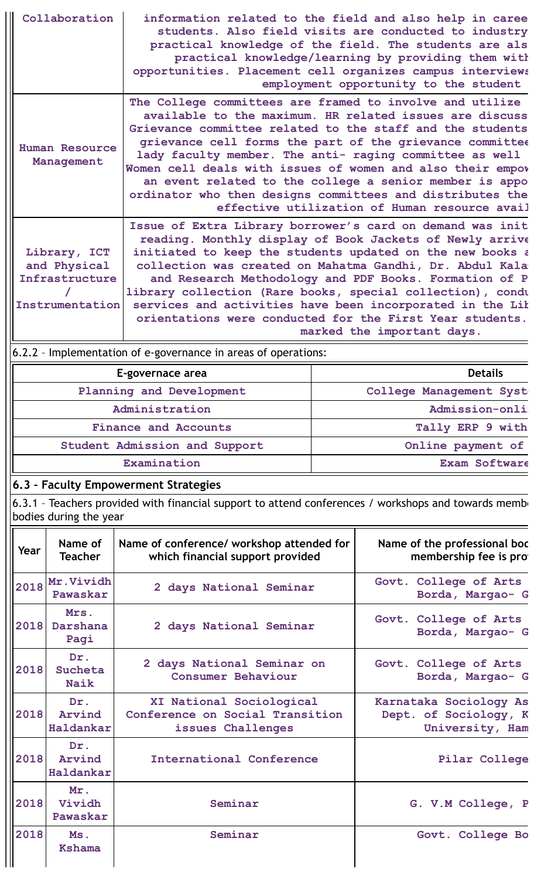|      | Collaboration                                                     | opportunities. Placement cell organizes campus interviews                                                                                                                                                                                                                                                     |                                                                                                                                                                                                                                                                                                                                                                                                                                                                                                                                                                                         | information related to the field and also help in caree<br>students. Also field visits are conducted to industry<br>practical knowledge of the field. The students are als<br>practical knowledge/learning by providing them with |  |  |  |  |  |
|------|-------------------------------------------------------------------|---------------------------------------------------------------------------------------------------------------------------------------------------------------------------------------------------------------------------------------------------------------------------------------------------------------|-----------------------------------------------------------------------------------------------------------------------------------------------------------------------------------------------------------------------------------------------------------------------------------------------------------------------------------------------------------------------------------------------------------------------------------------------------------------------------------------------------------------------------------------------------------------------------------------|-----------------------------------------------------------------------------------------------------------------------------------------------------------------------------------------------------------------------------------|--|--|--|--|--|
|      | <b>Human Resource</b><br>Management                               |                                                                                                                                                                                                                                                                                                               | employment opportunity to the student<br>The College committees are framed to involve and utilize<br>available to the maximum. HR related issues are discuss<br>Grievance committee related to the staff and the students<br>grievance cell forms the part of the grievance committee<br>lady faculty member. The anti- raging committee as well<br>Women cell deals with issues of women and also their empov<br>an event related to the college a senior member is appo<br>ordinator who then designs committees and distributes the<br>effective utilization of Human resource avail |                                                                                                                                                                                                                                   |  |  |  |  |  |
|      | Library, ICT<br>and Physical<br>Infrastructure<br>Instrumentation | Issue of Extra Library borrower's card on demand was init<br>initiated to keep the students updated on the new books a<br>library collection (Rare books, special collection), condu<br>services and activities have been incorporated in the Lik<br>orientations were conducted for the First Year students. |                                                                                                                                                                                                                                                                                                                                                                                                                                                                                                                                                                                         | reading. Monthly display of Book Jackets of Newly arrive<br>collection was created on Mahatma Gandhi, Dr. Abdul Kala<br>and Research Methodology and PDF Books. Formation of P<br>marked the important days.                      |  |  |  |  |  |
|      |                                                                   | 6.2.2 - Implementation of e-governance in areas of operations:                                                                                                                                                                                                                                                |                                                                                                                                                                                                                                                                                                                                                                                                                                                                                                                                                                                         |                                                                                                                                                                                                                                   |  |  |  |  |  |
|      |                                                                   | E-governace area                                                                                                                                                                                                                                                                                              |                                                                                                                                                                                                                                                                                                                                                                                                                                                                                                                                                                                         | <b>Details</b>                                                                                                                                                                                                                    |  |  |  |  |  |
|      |                                                                   | Planning and Development                                                                                                                                                                                                                                                                                      | College Management Syst                                                                                                                                                                                                                                                                                                                                                                                                                                                                                                                                                                 |                                                                                                                                                                                                                                   |  |  |  |  |  |
|      |                                                                   | Administration                                                                                                                                                                                                                                                                                                | Admission-onli                                                                                                                                                                                                                                                                                                                                                                                                                                                                                                                                                                          |                                                                                                                                                                                                                                   |  |  |  |  |  |
|      |                                                                   | <b>Finance and Accounts</b>                                                                                                                                                                                                                                                                                   | Tally ERP 9 with                                                                                                                                                                                                                                                                                                                                                                                                                                                                                                                                                                        |                                                                                                                                                                                                                                   |  |  |  |  |  |
|      |                                                                   | Student Admission and Support                                                                                                                                                                                                                                                                                 | Online payment of                                                                                                                                                                                                                                                                                                                                                                                                                                                                                                                                                                       |                                                                                                                                                                                                                                   |  |  |  |  |  |
|      |                                                                   | Examination                                                                                                                                                                                                                                                                                                   | Exam Software                                                                                                                                                                                                                                                                                                                                                                                                                                                                                                                                                                           |                                                                                                                                                                                                                                   |  |  |  |  |  |
|      |                                                                   | 6.3 - Faculty Empowerment Strategies                                                                                                                                                                                                                                                                          |                                                                                                                                                                                                                                                                                                                                                                                                                                                                                                                                                                                         |                                                                                                                                                                                                                                   |  |  |  |  |  |
|      | bodies during the year                                            | 6.3.1 - Teachers provided with financial support to attend conferences / workshops and towards membe                                                                                                                                                                                                          |                                                                                                                                                                                                                                                                                                                                                                                                                                                                                                                                                                                         |                                                                                                                                                                                                                                   |  |  |  |  |  |
| Year | Name of<br><b>Teacher</b>                                         | Name of conference/ workshop attended for<br>which financial support provided                                                                                                                                                                                                                                 |                                                                                                                                                                                                                                                                                                                                                                                                                                                                                                                                                                                         | Name of the professional bod<br>membership fee is pro                                                                                                                                                                             |  |  |  |  |  |
| 2018 | Mr.Vividh<br>Pawaskar                                             | 2 days National Seminar                                                                                                                                                                                                                                                                                       |                                                                                                                                                                                                                                                                                                                                                                                                                                                                                                                                                                                         | Govt. College of Arts<br>Borda, Margao- G                                                                                                                                                                                         |  |  |  |  |  |
| 2018 | Mrs.<br>Darshana<br>Pagi                                          | 2 days National Seminar                                                                                                                                                                                                                                                                                       |                                                                                                                                                                                                                                                                                                                                                                                                                                                                                                                                                                                         | Govt. College of Arts<br>Borda, Margao- G                                                                                                                                                                                         |  |  |  |  |  |
| 2018 | Dr.<br>Sucheta<br><b>Naik</b>                                     | 2 days National Seminar on<br>Consumer Behaviour                                                                                                                                                                                                                                                              |                                                                                                                                                                                                                                                                                                                                                                                                                                                                                                                                                                                         | Govt. College of Arts<br>Borda, Margao- G                                                                                                                                                                                         |  |  |  |  |  |
| 2018 | Dr.<br>Arvind<br>Haldankar                                        | XI National Sociological<br>Conference on Social Transition<br>issues Challenges                                                                                                                                                                                                                              |                                                                                                                                                                                                                                                                                                                                                                                                                                                                                                                                                                                         | Karnataka Sociology As<br>Dept. of Sociology, K<br>University, Ham                                                                                                                                                                |  |  |  |  |  |
| 2018 | Dr.<br>Arvind<br>Haldankar                                        | <b>International Conference</b>                                                                                                                                                                                                                                                                               |                                                                                                                                                                                                                                                                                                                                                                                                                                                                                                                                                                                         | Pilar College                                                                                                                                                                                                                     |  |  |  |  |  |
| 2018 | Mr.<br>Vividh<br>Pawaskar                                         | Seminar                                                                                                                                                                                                                                                                                                       |                                                                                                                                                                                                                                                                                                                                                                                                                                                                                                                                                                                         | G. V.M College, P                                                                                                                                                                                                                 |  |  |  |  |  |
| 2018 | Ms.<br><b>Kshama</b>                                              | Seminar                                                                                                                                                                                                                                                                                                       |                                                                                                                                                                                                                                                                                                                                                                                                                                                                                                                                                                                         | Govt. College Bo                                                                                                                                                                                                                  |  |  |  |  |  |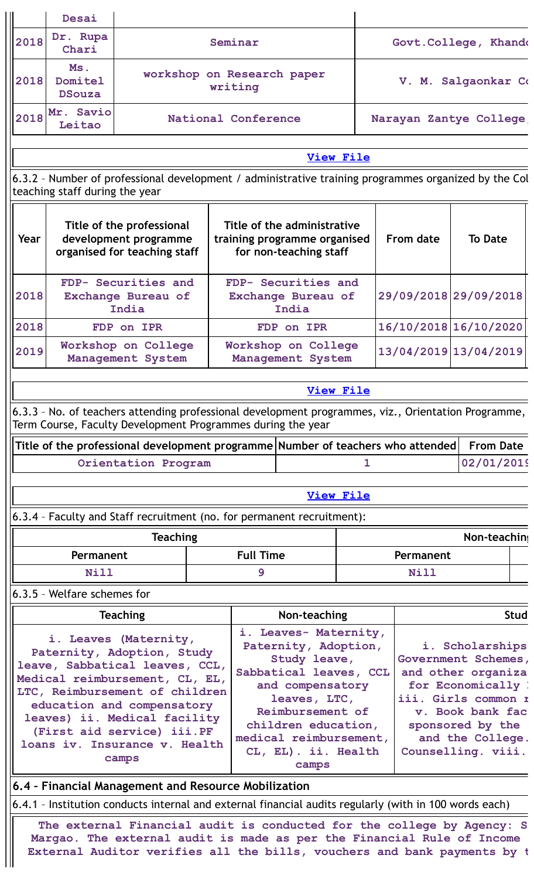|      | Desai                           |                                                                                                                                                                                                                                                                                                 |  |                                       |                                                                                                                                                                                                                                  |   |                                              |                                                                                                                                                                                             |             |
|------|---------------------------------|-------------------------------------------------------------------------------------------------------------------------------------------------------------------------------------------------------------------------------------------------------------------------------------------------|--|---------------------------------------|----------------------------------------------------------------------------------------------------------------------------------------------------------------------------------------------------------------------------------|---|----------------------------------------------|---------------------------------------------------------------------------------------------------------------------------------------------------------------------------------------------|-------------|
| 2018 | Dr. Rupa<br>Chari               |                                                                                                                                                                                                                                                                                                 |  | Seminar                               |                                                                                                                                                                                                                                  |   | Govt. College, Khandd<br>V. M. Salgaonkar Co |                                                                                                                                                                                             |             |
| 2018 | Ms.<br>Domitel<br><b>DSouza</b> |                                                                                                                                                                                                                                                                                                 |  | workshop on Research paper<br>writing |                                                                                                                                                                                                                                  |   |                                              |                                                                                                                                                                                             |             |
| 2018 | Mr. Savio<br>Leitao             |                                                                                                                                                                                                                                                                                                 |  | National Conference                   |                                                                                                                                                                                                                                  |   | Narayan Zantye College                       |                                                                                                                                                                                             |             |
|      |                                 |                                                                                                                                                                                                                                                                                                 |  |                                       | <b>View File</b>                                                                                                                                                                                                                 |   |                                              |                                                                                                                                                                                             |             |
|      |                                 | 6.3.2 - Number of professional development / administrative training programmes organized by the Col                                                                                                                                                                                            |  |                                       |                                                                                                                                                                                                                                  |   |                                              |                                                                                                                                                                                             |             |
|      | teaching staff during the year  |                                                                                                                                                                                                                                                                                                 |  |                                       |                                                                                                                                                                                                                                  |   |                                              |                                                                                                                                                                                             |             |
| Year |                                 | Title of the professional<br>development programme<br>organised for teaching staff                                                                                                                                                                                                              |  |                                       | Title of the administrative<br>training programme organised<br>for non-teaching staff                                                                                                                                            |   | From date                                    | <b>To Date</b>                                                                                                                                                                              |             |
| 2018 |                                 | FDP- Securities and<br>Exchange Bureau of<br>India                                                                                                                                                                                                                                              |  |                                       | FDP- Securities and<br>Exchange Bureau of<br>India                                                                                                                                                                               |   | 29/09/2018 29/09/2018                        |                                                                                                                                                                                             |             |
| 2018 |                                 | FDP on IPR                                                                                                                                                                                                                                                                                      |  |                                       | FDP on IPR                                                                                                                                                                                                                       |   | 16/10/2018 16/10/2020                        |                                                                                                                                                                                             |             |
| 2019 |                                 | Workshop on College<br>Management System                                                                                                                                                                                                                                                        |  |                                       | Workshop on College<br>Management System                                                                                                                                                                                         |   | 13/04/2019 13/04/2019                        |                                                                                                                                                                                             |             |
|      |                                 |                                                                                                                                                                                                                                                                                                 |  |                                       |                                                                                                                                                                                                                                  |   |                                              |                                                                                                                                                                                             |             |
|      |                                 |                                                                                                                                                                                                                                                                                                 |  |                                       | <b>View File</b>                                                                                                                                                                                                                 |   |                                              |                                                                                                                                                                                             |             |
|      |                                 | 6.3.3 - No. of teachers attending professional development programmes, viz., Orientation Programme,<br>Term Course, Faculty Development Programmes during the year                                                                                                                              |  |                                       |                                                                                                                                                                                                                                  |   |                                              |                                                                                                                                                                                             |             |
|      |                                 | Title of the professional development programme Number of teachers who attended                                                                                                                                                                                                                 |  |                                       |                                                                                                                                                                                                                                  |   |                                              | <b>From Date</b>                                                                                                                                                                            |             |
|      |                                 | Orientation Program                                                                                                                                                                                                                                                                             |  |                                       |                                                                                                                                                                                                                                  | ı |                                              | 02/01/2019                                                                                                                                                                                  |             |
|      |                                 |                                                                                                                                                                                                                                                                                                 |  |                                       |                                                                                                                                                                                                                                  |   |                                              |                                                                                                                                                                                             |             |
|      |                                 |                                                                                                                                                                                                                                                                                                 |  |                                       |                                                                                                                                                                                                                                  |   |                                              |                                                                                                                                                                                             |             |
|      |                                 |                                                                                                                                                                                                                                                                                                 |  |                                       | <b>View File</b>                                                                                                                                                                                                                 |   |                                              |                                                                                                                                                                                             |             |
|      | <b>Teaching</b>                 |                                                                                                                                                                                                                                                                                                 |  |                                       | 6.3.4 - Faculty and Staff recruitment (no. for permanent recruitment):                                                                                                                                                           |   |                                              |                                                                                                                                                                                             |             |
|      |                                 |                                                                                                                                                                                                                                                                                                 |  |                                       |                                                                                                                                                                                                                                  |   |                                              | Non-teaching                                                                                                                                                                                |             |
|      | Permanent                       |                                                                                                                                                                                                                                                                                                 |  | <b>Full Time</b>                      |                                                                                                                                                                                                                                  |   | Permanent                                    |                                                                                                                                                                                             |             |
|      | Nill                            |                                                                                                                                                                                                                                                                                                 |  | 9                                     |                                                                                                                                                                                                                                  |   | Nill                                         |                                                                                                                                                                                             |             |
|      | 6.3.5 - Welfare schemes for     |                                                                                                                                                                                                                                                                                                 |  |                                       |                                                                                                                                                                                                                                  |   |                                              |                                                                                                                                                                                             |             |
|      |                                 | <b>Teaching</b>                                                                                                                                                                                                                                                                                 |  |                                       | Non-teaching                                                                                                                                                                                                                     |   |                                              |                                                                                                                                                                                             | <b>Stud</b> |
|      |                                 | i. Leaves (Maternity,<br>Paternity, Adoption, Study<br>leave, Sabbatical leaves, CCL,<br>Medical reimbursement, CL, EL,<br>LTC, Reimbursement of children<br>education and compensatory<br>leaves) ii. Medical facility<br>(First aid service) iii.PF<br>loans iv. Insurance v. Health<br>camps |  |                                       | i. Leaves- Maternity,<br>Paternity, Adoption,<br>Study leave,<br>Sabbatical leaves, CCL<br>and compensatory<br>leaves, LTC,<br>Reimbursement of<br>children education,<br>medical reimbursement,<br>CL, EL). ii. Health<br>camps |   |                                              | i. Scholarships<br>Government Schemes,<br>and other organiza<br>for Economically !<br>iii. Girls common r<br>v. Book bank fac<br>sponsored by the<br>and the College.<br>Counselling. viii. |             |
|      |                                 | 6.4 - Financial Management and Resource Mobilization                                                                                                                                                                                                                                            |  |                                       |                                                                                                                                                                                                                                  |   |                                              |                                                                                                                                                                                             |             |
|      |                                 | 6.4.1 - Institution conducts internal and external financial audits regularly (with in 100 words each)                                                                                                                                                                                          |  |                                       |                                                                                                                                                                                                                                  |   |                                              |                                                                                                                                                                                             |             |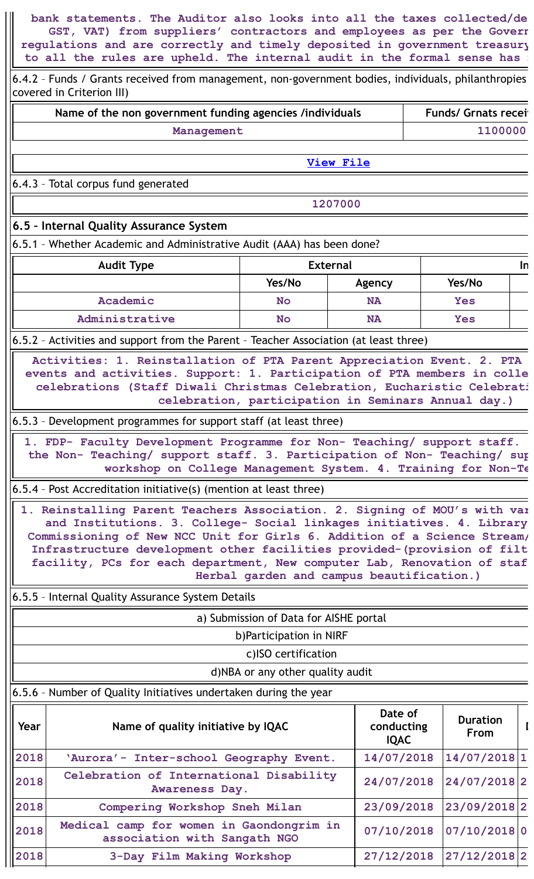**bank statements. The Auditor also looks into all the taxes collected/de GST, VAT) from suppliers' contractors and employees as per the Govern regulations and are correctly and timely deposited in government treasury to all the rules are upheld. The internal audit in the formal sense has n**

6.4.2 – Funds / Grants received from management, non-government bodies, individuals, philanthropies covered in Criterion III)

| Name of the non government funding agencies /individuals | <b>Funds/ Grnats recei</b> |
|----------------------------------------------------------|----------------------------|
| Management                                               | 1100000                    |

**[View](https://assessmentonline.naac.gov.in/public/Postacc/Funds_or_Grants/5336_Funds_or_Grants_1639981631.xlsx) File**

6.4.3 – Total corpus fund generated

**1207000**

### **6.5 – Internal Quality Assurance System**

6.5.1 – Whether Academic and Administrative Audit (AAA) has been done?

| <b>Audit Type</b> | <b>External</b> | In        |            |  |
|-------------------|-----------------|-----------|------------|--|
|                   | Yes/No          | Agency    | Yes/No     |  |
| Academic          | <b>No</b>       | <b>NA</b> | <b>Yes</b> |  |
| Administrative    | <b>No</b>       | <b>NA</b> | Yes        |  |

6.5.2 – Activities and support from the Parent – Teacher Association (at least three)

**Activities: 1. Reinstallation of PTA Parent Appreciation Event. 2. PTA events and activities. Support: 1. Participation of PTA members in colle celebrations (Staff Diwali Christmas Celebration, Eucharistic Celebrati celebration, participation in Seminars Annual day.)**

### 6.5.3 – Development programmes for support staff (at least three)

**1. FDP- Faculty Development Programme for Non- Teaching/ support staff. the Non- Teaching/ support staff. 3. Participation of Non- Teaching/ sup workshop on College Management System. 4. Training for Non-Te**

6.5.4 – Post Accreditation initiative(s) (mention at least three)

**1. Reinstalling Parent Teachers Association. 2. Signing of MOU's with var and Institutions. 3. College- Social linkages initiatives. 4. Library Commissioning of New NCC Unit for Girls 6. Addition of a Science Stream/ Infrastructure development other facilities provided-(provision of filt facility, PCs for each department, New computer Lab, Renovation of staf Herbal garden and campus beautification.)**

6.5.5 – Internal Quality Assurance System Details

a) Submission of Data for AISHE portal

b)Participation in NIRF

c)ISO certification

d)NBA or any other quality audit

### 6.5.6 – Number of Quality Initiatives undertaken during the year

| Year | Name of quality initiative by IQAC                                       | Date of<br>conducting<br><b>IQAC</b> | <b>Duration</b><br><b>From</b> |  |
|------|--------------------------------------------------------------------------|--------------------------------------|--------------------------------|--|
| 2018 | 'Aurora'- Inter-school Geography Event.                                  | 14/07/2018                           | 14/07/2018 1                   |  |
| 2018 | Celebration of International Disability<br>Awareness Day.                | 24/07/2018 24/07/2018 2              |                                |  |
| 2018 | Compering Workshop Sneh Milan                                            | 23/09/2018                           | 23/09/2018 2                   |  |
| 2018 | Medical camp for women in Gaondongrim in<br>association with Sangath NGO | 07/10/2018                           | 07/10/2018 0                   |  |
| 2018 | 3-Day Film Making Workshop                                               | 27/12/2018                           | 27/12/2018 2                   |  |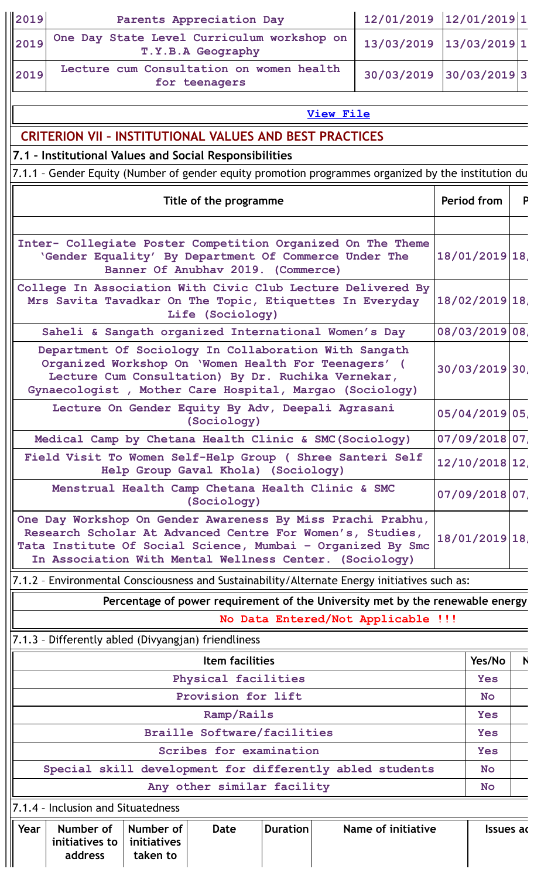| 2019<br>Parents Appreciation Day                                                                                                                                                                                                                   | 12/01/2019 12/01/2019 1 |                   |                   |              |
|----------------------------------------------------------------------------------------------------------------------------------------------------------------------------------------------------------------------------------------------------|-------------------------|-------------------|-------------------|--------------|
| One Day State Level Curriculum workshop on<br>2019<br>T.Y.B.A Geography                                                                                                                                                                            | 13/03/2019              |                   | $13/03/2019$ 1    |              |
| Lecture cum Consultation on women health<br>2019<br>for teenagers                                                                                                                                                                                  | 30/03/2019              |                   | 30/03/2019 3      |              |
| <b>View File</b>                                                                                                                                                                                                                                   |                         |                   |                   |              |
| <b>CRITERION VII - INSTITUTIONAL VALUES AND BEST PRACTICES</b>                                                                                                                                                                                     |                         |                   |                   |              |
| 7.1 - Institutional Values and Social Responsibilities                                                                                                                                                                                             |                         |                   |                   |              |
| 7.1.1 - Gender Equity (Number of gender equity promotion programmes organized by the institution du                                                                                                                                                |                         |                   |                   |              |
| Title of the programme                                                                                                                                                                                                                             |                         |                   | Period from       | P            |
|                                                                                                                                                                                                                                                    |                         |                   |                   |              |
| Inter- Collegiate Poster Competition Organized On The Theme<br>'Gender Equality' By Department Of Commerce Under The<br>Banner Of Anubhav 2019. (Commerce)                                                                                         |                         |                   | $18/01/2019$  18, |              |
| College In Association With Civic Club Lecture Delivered By<br>Mrs Savita Tavadkar On The Topic, Etiquettes In Everyday<br>Life (Sociology)                                                                                                        |                         |                   | $18/02/2019$  18, |              |
| Saheli & Sangath organized International Women's Day                                                                                                                                                                                               |                         |                   | 08/03/2019 08,    |              |
| Department Of Sociology In Collaboration With Sangath<br>Organized Workshop On 'Women Health For Teenagers' (<br>Lecture Cum Consultation) By Dr. Ruchika Vernekar,<br>Gynaecologist, Mother Care Hospital, Margao (Sociology)                     |                         | $30/03/2019$ 30,  |                   |              |
| Lecture On Gender Equity By Adv, Deepali Agrasani<br>(Sociology)                                                                                                                                                                                   |                         |                   | 05/04/2019 05     |              |
| Medical Camp by Chetana Health Clinic & SMC (Sociology)                                                                                                                                                                                            |                         |                   | 07/09/2018 07,    |              |
| Field Visit To Women Self-Help Group ( Shree Santeri Self<br>Help Group Gaval Khola) (Sociology)                                                                                                                                                   |                         | $12/10/2018$  12, |                   |              |
| Menstrual Health Camp Chetana Health Clinic & SMC<br>(Sociology)                                                                                                                                                                                   |                         |                   | $07/09/2018$ 07,  |              |
| One Day Workshop On Gender Awareness By Miss Prachi Prabhu,<br>Research Scholar At Advanced Centre For Women's, Studies,<br>Tata Institute Of Social Science, Mumbai - Organized By Smc<br>In Association With Mental Wellness Center. (Sociology) |                         |                   | $18/01/2019$  18, |              |
| 7.1.2 - Environmental Consciousness and Sustainability/Alternate Energy initiatives such as:                                                                                                                                                       |                         |                   |                   |              |
| Percentage of power requirement of the University met by the renewable energy                                                                                                                                                                      |                         |                   |                   |              |
| No Data Entered/Not Applicable !!!                                                                                                                                                                                                                 |                         |                   |                   |              |
| 7.1.3 - Differently abled (Divyangjan) friendliness                                                                                                                                                                                                |                         |                   |                   |              |
| <b>Item facilities</b>                                                                                                                                                                                                                             |                         |                   | Yes/No            | $\mathbb{N}$ |
| Physical facilities                                                                                                                                                                                                                                |                         |                   | <b>Yes</b>        |              |
| Provision for lift                                                                                                                                                                                                                                 |                         |                   | <b>No</b>         |              |
| Ramp/Rails                                                                                                                                                                                                                                         |                         |                   | <b>Yes</b>        |              |
| <b>Braille Software/facilities</b>                                                                                                                                                                                                                 |                         |                   | <b>Yes</b>        |              |
| Scribes for examination                                                                                                                                                                                                                            |                         |                   | <b>Yes</b>        |              |
| Special skill development for differently abled students                                                                                                                                                                                           |                         |                   | <b>No</b>         |              |
|                                                                                                                                                                                                                                                    |                         |                   | <b>No</b>         |              |
| Any other similar facility                                                                                                                                                                                                                         |                         |                   |                   |              |
| 7.1.4 - Inclusion and Situatedness<br>Number of<br>Number of<br><b>Duration</b><br>Year<br><b>Date</b>                                                                                                                                             | Name of initiative      |                   |                   |              |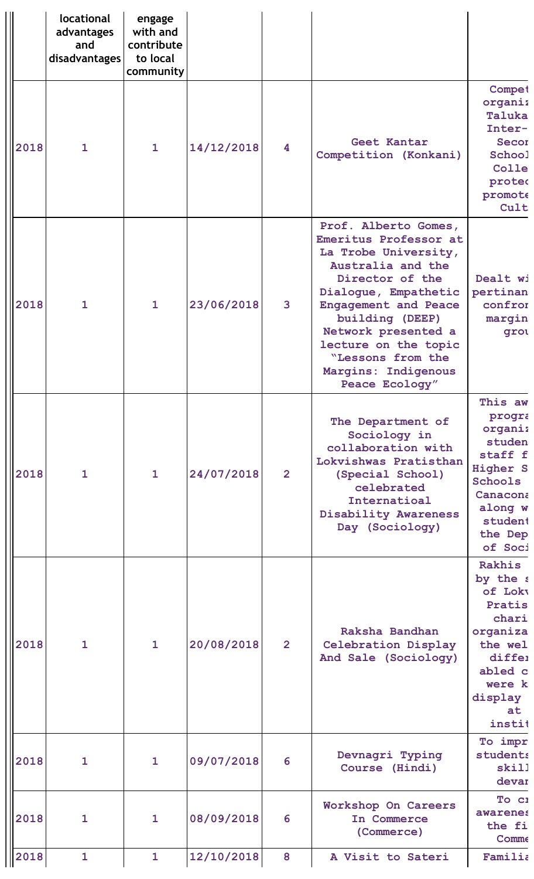|      | locational<br>advantages<br>and<br>disadvantages | engage<br>with and<br>contribute<br>to local<br>community |            |                |                                                                                                                                                                                                                                                                                                      |                                                                                                                                                |
|------|--------------------------------------------------|-----------------------------------------------------------|------------|----------------|------------------------------------------------------------------------------------------------------------------------------------------------------------------------------------------------------------------------------------------------------------------------------------------------------|------------------------------------------------------------------------------------------------------------------------------------------------|
| 2018 | $\mathbf{1}$                                     | $\mathbf{1}$                                              | 14/12/2018 | 4              | Geet Kantar<br>Competition (Konkani)                                                                                                                                                                                                                                                                 | Compet<br>organiz<br>Taluka<br>Inter-<br>Secor<br>School<br>Colle<br>proted<br>promote<br>Cult                                                 |
| 2018 | $\mathbf{1}$                                     | $\mathbf{1}$                                              | 23/06/2018 | 3              | Prof. Alberto Gomes,<br>Emeritus Professor at<br>La Trobe University,<br>Australia and the<br>Director of the<br>Dialogue, Empathetic<br><b>Engagement and Peace</b><br>building (DEEP)<br>Network presented a<br>lecture on the topic<br>"Lessons from the<br>Margins: Indigenous<br>Peace Ecology" | Dealt wi<br>pertinan<br>confrom<br>margin<br>grou                                                                                              |
| 2018 | $\mathbf{1}$                                     | $\mathbf{1}$                                              | 24/07/2018 | $\overline{2}$ | The Department of<br>Sociology in<br>collaboration with<br>Lokvishwas Pratisthan<br>(Special School)<br>celebrated<br>Internatioal<br>Disability Awareness<br>Day (Sociology)                                                                                                                        | This aw<br>progra<br>organiz<br>studen<br>staff f<br><b>Higher S</b><br><b>Schools</b><br>Canacona<br>along w<br>student<br>the Dep<br>of Soci |
| 2018 | $\mathbf{1}$                                     | $\mathbf{1}$                                              | 20/08/2018 | $\overline{2}$ | Raksha Bandhan<br>Celebration Display<br>And Sale (Sociology)                                                                                                                                                                                                                                        | Rakhis<br>by the s<br>of Loky<br>Pratis<br>chari<br>organiza<br>the wel<br>differ<br>abled c<br>were k<br>display<br>at<br>instit              |
| 2018 | 1                                                | $\mathbf{1}$                                              | 09/07/2018 | 6              | Devnagri Typing<br>Course (Hindi)                                                                                                                                                                                                                                                                    | To impr<br>students<br>skill<br>devar                                                                                                          |
| 2018 | 1                                                | $\mathbf{1}$                                              | 08/09/2018 | 6              | Workshop On Careers<br>In Commerce<br>(Commerce)                                                                                                                                                                                                                                                     | To ci<br><b>awarenes</b><br>the fi<br>Comme                                                                                                    |
| 2018 | $\mathbf{1}$                                     | $\mathbf{1}$                                              | 12/10/2018 | 8              | A Visit to Sateri                                                                                                                                                                                                                                                                                    | Familia                                                                                                                                        |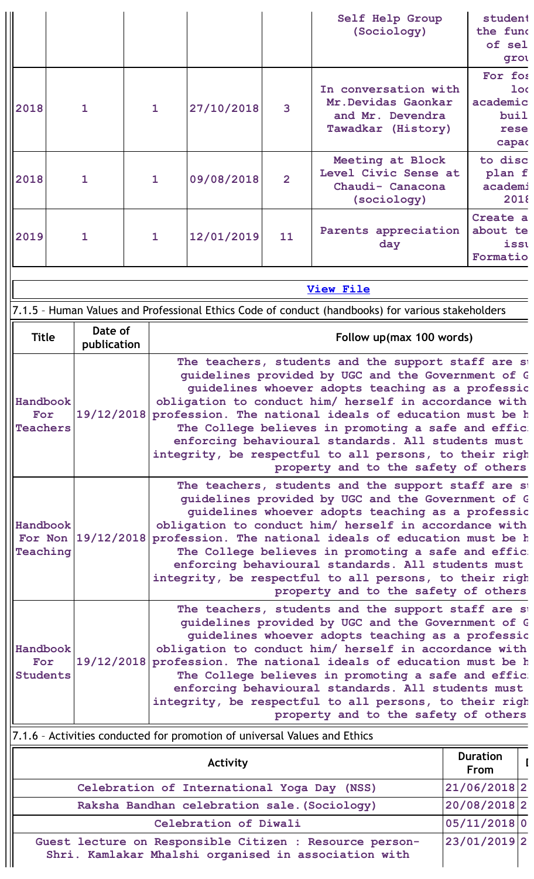|                                                      |  |                        |  |                                                                                                                            |                                                                           |                | Self Help Group<br>(Sociology)                                                                                                     | student<br>the fund     |                 |  |  |  |
|------------------------------------------------------|--|------------------------|--|----------------------------------------------------------------------------------------------------------------------------|---------------------------------------------------------------------------|----------------|------------------------------------------------------------------------------------------------------------------------------------|-------------------------|-----------------|--|--|--|
|                                                      |  |                        |  |                                                                                                                            |                                                                           |                |                                                                                                                                    | of sel                  |                 |  |  |  |
|                                                      |  |                        |  |                                                                                                                            |                                                                           |                |                                                                                                                                    |                         | grou            |  |  |  |
|                                                      |  |                        |  |                                                                                                                            |                                                                           |                | In conversation with                                                                                                               | For fos                 | 1 <sub>oc</sub> |  |  |  |
|                                                      |  |                        |  |                                                                                                                            |                                                                           |                | Mr. Devidas Gaonkar                                                                                                                | academic                |                 |  |  |  |
| 2018                                                 |  | $\mathbf{1}$           |  | $\mathbf{1}$                                                                                                               | 27/10/2018                                                                | 3              | and Mr. Devendra                                                                                                                   | buil                    |                 |  |  |  |
|                                                      |  |                        |  |                                                                                                                            |                                                                           |                | Tawadkar (History)                                                                                                                 | rese                    |                 |  |  |  |
|                                                      |  |                        |  |                                                                                                                            |                                                                           |                |                                                                                                                                    | capac                   |                 |  |  |  |
|                                                      |  |                        |  |                                                                                                                            |                                                                           |                | Meeting at Block<br>Level Civic Sense at                                                                                           | to disc                 |                 |  |  |  |
| 2018                                                 |  | $\mathbf{1}$           |  | $\mathbf{1}$                                                                                                               | 09/08/2018                                                                | $\overline{2}$ | Chaudi- Canacona                                                                                                                   | plan f<br>academi       |                 |  |  |  |
|                                                      |  |                        |  |                                                                                                                            |                                                                           |                | (sociology)                                                                                                                        |                         | 2018            |  |  |  |
|                                                      |  |                        |  |                                                                                                                            |                                                                           |                |                                                                                                                                    | Create a                |                 |  |  |  |
| 2019                                                 |  | $\mathbf{1}$           |  | $\mathbf{1}$                                                                                                               | 12/01/2019                                                                | 11             | Parents appreciation                                                                                                               | about te                |                 |  |  |  |
|                                                      |  |                        |  |                                                                                                                            |                                                                           |                | day                                                                                                                                |                         | isst            |  |  |  |
|                                                      |  |                        |  |                                                                                                                            |                                                                           |                |                                                                                                                                    | Formatio                |                 |  |  |  |
|                                                      |  |                        |  |                                                                                                                            |                                                                           |                | <b>View File</b>                                                                                                                   |                         |                 |  |  |  |
|                                                      |  |                        |  |                                                                                                                            |                                                                           |                | 7.1.5 - Human Values and Professional Ethics Code of conduct (handbooks) for various stakeholders                                  |                         |                 |  |  |  |
| <b>Title</b>                                         |  | Date of<br>publication |  |                                                                                                                            |                                                                           |                | Follow up(max 100 words)                                                                                                           |                         |                 |  |  |  |
|                                                      |  |                        |  |                                                                                                                            |                                                                           |                | The teachers, students and the support staff are st                                                                                |                         |                 |  |  |  |
|                                                      |  |                        |  |                                                                                                                            |                                                                           |                | quidelines provided by UGC and the Government of G                                                                                 |                         |                 |  |  |  |
| Handbook                                             |  |                        |  | guidelines whoever adopts teaching as a professic                                                                          |                                                                           |                |                                                                                                                                    |                         |                 |  |  |  |
| For                                                  |  |                        |  | obligation to conduct him/ herself in accordance with<br>19/12/2018 profession. The national ideals of education must be h |                                                                           |                |                                                                                                                                    |                         |                 |  |  |  |
| <b>Teachers</b>                                      |  |                        |  | The College believes in promoting a safe and effic.                                                                        |                                                                           |                |                                                                                                                                    |                         |                 |  |  |  |
|                                                      |  |                        |  | enforcing behavioural standards. All students must                                                                         |                                                                           |                |                                                                                                                                    |                         |                 |  |  |  |
|                                                      |  |                        |  | integrity, be respectful to all persons, to their righ<br>property and to the safety of others                             |                                                                           |                |                                                                                                                                    |                         |                 |  |  |  |
|                                                      |  |                        |  |                                                                                                                            |                                                                           |                |                                                                                                                                    |                         |                 |  |  |  |
|                                                      |  |                        |  | The teachers, students and the support staff are st<br>quidelines provided by UGC and the Government of G                  |                                                                           |                |                                                                                                                                    |                         |                 |  |  |  |
|                                                      |  |                        |  |                                                                                                                            | guidelines whoever adopts teaching as a professic                         |                |                                                                                                                                    |                         |                 |  |  |  |
| Handbook                                             |  |                        |  |                                                                                                                            |                                                                           |                | obligation to conduct him/ herself in accordance with<br>For Non 19/12/2018 profession. The national ideals of education must be h |                         |                 |  |  |  |
| Teaching                                             |  |                        |  |                                                                                                                            |                                                                           |                |                                                                                                                                    |                         |                 |  |  |  |
|                                                      |  |                        |  | The College believes in promoting a safe and effic:<br>enforcing behavioural standards. All students must                  |                                                                           |                |                                                                                                                                    |                         |                 |  |  |  |
|                                                      |  |                        |  |                                                                                                                            |                                                                           |                | integrity, be respectful to all persons, to their righ                                                                             |                         |                 |  |  |  |
|                                                      |  |                        |  |                                                                                                                            |                                                                           |                | property and to the safety of others                                                                                               |                         |                 |  |  |  |
|                                                      |  |                        |  |                                                                                                                            |                                                                           |                | The teachers, students and the support staff are st                                                                                |                         |                 |  |  |  |
|                                                      |  |                        |  |                                                                                                                            |                                                                           |                | guidelines provided by UGC and the Government of G<br>guidelines whoever adopts teaching as a professic                            |                         |                 |  |  |  |
| Handbook                                             |  |                        |  |                                                                                                                            |                                                                           |                | obligation to conduct him/ herself in accordance with                                                                              |                         |                 |  |  |  |
| For                                                  |  |                        |  |                                                                                                                            |                                                                           |                | 19/12/2018 profession. The national ideals of education must be h                                                                  |                         |                 |  |  |  |
| <b>Students</b>                                      |  |                        |  |                                                                                                                            |                                                                           |                | The College believes in promoting a safe and effic:                                                                                |                         |                 |  |  |  |
|                                                      |  |                        |  |                                                                                                                            |                                                                           |                | enforcing behavioural standards. All students must<br>integrity, be respectful to all persons, to their righ                       |                         |                 |  |  |  |
|                                                      |  |                        |  |                                                                                                                            |                                                                           |                | property and to the safety of others                                                                                               |                         |                 |  |  |  |
|                                                      |  |                        |  |                                                                                                                            | 7.1.6 - Activities conducted for promotion of universal Values and Ethics |                |                                                                                                                                    |                         |                 |  |  |  |
|                                                      |  |                        |  |                                                                                                                            | Activity                                                                  |                |                                                                                                                                    | <b>Duration</b><br>From |                 |  |  |  |
|                                                      |  |                        |  |                                                                                                                            | Celebration of International Yoga Day (NSS)                               |                |                                                                                                                                    | 21/06/2018 2            |                 |  |  |  |
|                                                      |  |                        |  |                                                                                                                            | Raksha Bandhan celebration sale. (Sociology)                              |                |                                                                                                                                    | 20/08/2018 2            |                 |  |  |  |
|                                                      |  |                        |  |                                                                                                                            | Celebration of Diwali                                                     |                |                                                                                                                                    | 05/11/2018 0            |                 |  |  |  |
|                                                      |  |                        |  |                                                                                                                            |                                                                           |                | Guest lecture on Responsible Citizen : Resource person-                                                                            | 23/01/2019 2            |                 |  |  |  |
| Shri. Kamlakar Mhalshi organised in association with |  |                        |  |                                                                                                                            |                                                                           |                |                                                                                                                                    |                         |                 |  |  |  |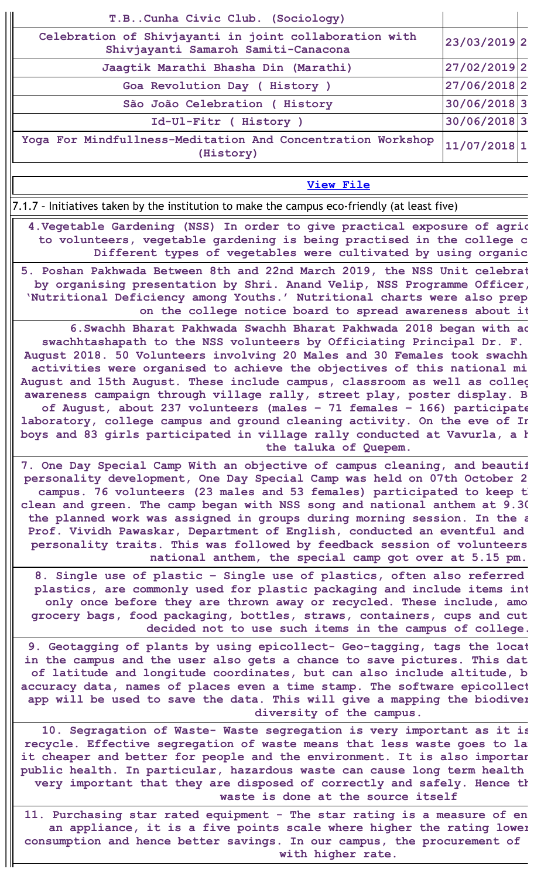| T.BCunha Civic Club. (Sociology)                                                                                                                                                                                                                                                                                                                                                                                                                                                                                                                                                                                                                                                                                          |              |  |
|---------------------------------------------------------------------------------------------------------------------------------------------------------------------------------------------------------------------------------------------------------------------------------------------------------------------------------------------------------------------------------------------------------------------------------------------------------------------------------------------------------------------------------------------------------------------------------------------------------------------------------------------------------------------------------------------------------------------------|--------------|--|
| Celebration of Shivjayanti in joint collaboration with<br>Shivjayanti Samaroh Samiti-Canacona                                                                                                                                                                                                                                                                                                                                                                                                                                                                                                                                                                                                                             | 23/03/2019 2 |  |
| Jaagtik Marathi Bhasha Din (Marathi)                                                                                                                                                                                                                                                                                                                                                                                                                                                                                                                                                                                                                                                                                      | 27/02/2019 2 |  |
| Goa Revolution Day ( History )                                                                                                                                                                                                                                                                                                                                                                                                                                                                                                                                                                                                                                                                                            | 27/06/2018 2 |  |
| São João Celebration ( History                                                                                                                                                                                                                                                                                                                                                                                                                                                                                                                                                                                                                                                                                            | 30/06/20183  |  |
| Id-Ul-Fitr ( History )                                                                                                                                                                                                                                                                                                                                                                                                                                                                                                                                                                                                                                                                                                    | 30/06/20183  |  |
| Yoga For Mindfullness-Meditation And Concentration Workshop<br>(History)                                                                                                                                                                                                                                                                                                                                                                                                                                                                                                                                                                                                                                                  | 11/07/2018 1 |  |
| <b>View File</b>                                                                                                                                                                                                                                                                                                                                                                                                                                                                                                                                                                                                                                                                                                          |              |  |
| 7.1.7 - Initiatives taken by the institution to make the campus eco-friendly (at least five)                                                                                                                                                                                                                                                                                                                                                                                                                                                                                                                                                                                                                              |              |  |
| 4. Vegetable Gardening (NSS) In order to give practical exposure of agric<br>to volunteers, vegetable gardening is being practised in the college c<br>Different types of vegetables were cultivated by using organic                                                                                                                                                                                                                                                                                                                                                                                                                                                                                                     |              |  |
| 5. Poshan Pakhwada Between 8th and 22nd March 2019, the NSS Unit celebrat<br>by organising presentation by Shri. Anand Velip, NSS Programme Officer,<br>'Nutritional Deficiency among Youths.' Nutritional charts were also prep<br>on the college notice board to spread awareness about it                                                                                                                                                                                                                                                                                                                                                                                                                              |              |  |
| 6. Swachh Bharat Pakhwada Swachh Bharat Pakhwada 2018 began with ad<br>swachhtashapath to the NSS volunteers by Officiating Principal Dr. F.<br>August 2018. 50 Volunteers involving 20 Males and 30 Females took swachh<br>activities were organised to achieve the objectives of this national mi<br>August and 15th August. These include campus, classroom as well as colleg<br>awareness campaign through village rally, street play, poster display. B<br>of August, about 237 volunteers (males - 71 females - 166) participate<br>laboratory, college campus and ground cleaning activity. On the eve of In<br>boys and 83 girls participated in village rally conducted at Vavurla, a h<br>the taluka of Quepem. |              |  |
| 7. One Day Special Camp With an objective of campus cleaning, and beautif<br>personality development, One Day Special Camp was held on 07th October 2<br>campus. 76 volunteers (23 males and 53 females) participated to keep t<br>clean and green. The camp began with NSS song and national anthem at 9.30<br>the planned work was assigned in groups during morning session. In the a<br>Prof. Vividh Pawaskar, Department of English, conducted an eventful and<br>personality traits. This was followed by feedback session of volunteers<br>national anthem, the special camp got over at 5.15 pm.                                                                                                                  |              |  |
| 8. Single use of plastic - Single use of plastics, often also referred<br>plastics, are commonly used for plastic packaging and include items int<br>only once before they are thrown away or recycled. These include, amo<br>grocery bags, food packaging, bottles, straws, containers, cups and cut<br>decided not to use such items in the campus of college.                                                                                                                                                                                                                                                                                                                                                          |              |  |
| 9. Geotagging of plants by using epicollect- Geo-tagging, tags the locat<br>in the campus and the user also gets a chance to save pictures. This dat<br>of latitude and longitude coordinates, but can also include altitude, b<br>accuracy data, names of places even a time stamp. The software epicollect<br>app will be used to save the data. This will give a mapping the biodiver<br>diversity of the campus.                                                                                                                                                                                                                                                                                                      |              |  |
| 10. Segragation of Waste- Waste segregation is very important as it is<br>recycle. Effective segregation of waste means that less waste goes to la<br>it cheaper and better for people and the environment. It is also importar<br>public health. In particular, hazardous waste can cause long term health<br>very important that they are disposed of correctly and safely. Hence th<br>waste is done at the source itself                                                                                                                                                                                                                                                                                              |              |  |
| 11. Purchasing star rated equipment - The star rating is a measure of en                                                                                                                                                                                                                                                                                                                                                                                                                                                                                                                                                                                                                                                  |              |  |

**an appliance, it is a five points scale where higher the rating lower consumption and hence better savings. In our campus, the procurement of with higher rate.**

 $\mathbb{I}$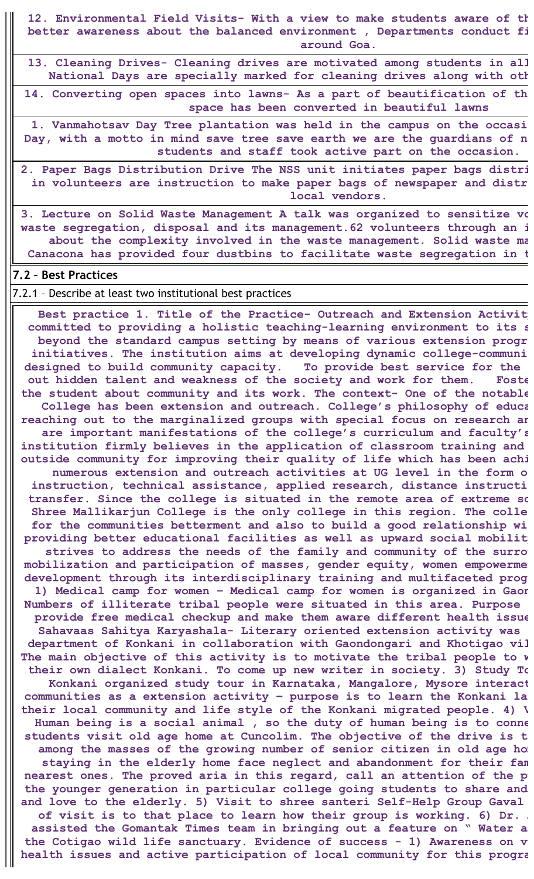**12. Environmental Field Visits- With a view to make students aware of th better awareness about the balanced environment , Departments conduct fi around Goa.**

**13. Cleaning Drives- Cleaning drives are motivated among students in all National Days are specially marked for cleaning drives along with oth**

**14. Converting open spaces into lawns- As a part of beautification of th space has been converted in beautiful lawns**

**1. Vanmahotsav Day Tree plantation was held in the campus on the occasi Day, with a motto in mind save tree save earth we are the guardians of n students and staff took active part on the occasion.**

**2. Paper Bags Distribution Drive The NSS unit initiates paper bags distri in volunteers are instruction to make paper bags of newspaper and distr local vendors.**

**3. Lecture on Solid Waste Management A talk was organized to sensitize vo waste segregation, disposal and its management.62 volunteers through an i about the complexity involved in the waste management. Solid waste ma Canacona has provided four dustbins to facilitate waste segregation in t**

#### **7.2 – Best Practices**

7.2.1 – Describe at least two institutional best practices

**Best practice 1. Title of the Practice- Outreach and Extension Activity committed to providing a holistic teaching-learning environment to its s beyond the standard campus setting by means of various extension progr initiatives. The institution aims at developing dynamic college-communi designed to build community capacity. To provide best service for the out hidden talent and weakness of the society and work for them. Foste the student about community and its work. The context- One of the notable College has been extension and outreach. College's philosophy of educa reaching out to the marginalized groups with special focus on research an are important manifestations of the college's curriculum and faculty's institution firmly believes in the application of classroom training and outside community for improving their quality of life which has been achi numerous extension and outreach activities at UG level in the form o instruction, technical assistance, applied research, distance instructi transfer. Since the college is situated in the remote area of extreme so Shree Mallikarjun College is the only college in this region. The colle for the communities betterment and also to build a good relationship wi providing better educational facilities as well as upward social mobility strives to address the needs of the family and community of the surrou mobilization** and participation of masses, gender equity, women empowerment **development through its interdisciplinary training and multifaceted prog 1) Medical camp for women – Medical camp for women is organized in Gaon Numbers of illiterate tribal people were situated in this area. Purpose provide free medical checkup and make them aware different health issue Sahavaas Sahitya Karyashala- Literary oriented extension activity was department of Konkani in collaboration with Gaondongari and Khotigao vil The main objective of this activity is to motivate the tribal people to w their own dialect Konkani. To come up new writer in society. 3) Study To Konkani organized study tour in Karnataka, Mangalore, Mysore interact communities as a extension activity – purpose is to learn the Konkani lan their local community and life style of the Konkani migrated people. 4) V Human being is a social animal , so the duty of human being is to conne students visit old age home at Cuncolim. The objective of the drive is t among the masses of the growing number of senior citizen in old age hom staying in the elderly home face neglect and abandonment for their fam nearest ones. The proved aria in this regard, call an attention of the pu the younger generation in particular college going students to share and and love to the elderly. 5) Visit to shree santeri Self-Help Group Gaval of visit is to that place to learn how their group is working. 6) Dr. A assisted the Gomantak Times team in bringing out a feature on " Water an the Cotigao wild life sanctuary. Evidence of success - 1) Awareness on v health issues and active participation of local community for this progra**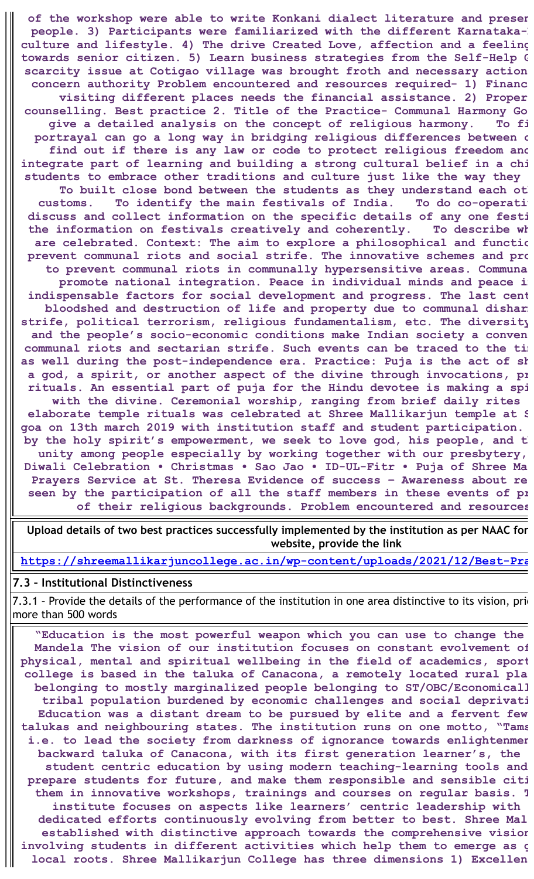**of the workshop were able to write Konkani dialect literature and presen people.** 3) Participants were familiarized with the different Karnataka-K **culture and lifestyle. 4) The drive Created Love, affection and a feeling towards senior citizen. 5) Learn business strategies from the Self-Help G scarcity issue at Cotigao village was brought froth and necessary action concern authority Problem encountered and resources required- 1) Financ visiting different places needs the financial assistance. 2) Proper counselling. Best practice 2. Title of the Practice- Communal Harmony Go give a detailed analysis on the concept of religious harmony. To fi portrayal can go a long way in bridging religious differences between c find out if there is any law or code to protect religious freedom and integrate part of learning and building a strong cultural belief in a chi students to embrace other traditions and culture just like the way they To built close bond between the students as they understand each oth customs. To identify the main festivals of India. To do co-operativ discuss and collect information on the specific details of any one festi the information on festivals creatively and coherently. To describe wh are celebrated. Context: The aim to explore a philosophical and functio prevent communal riots and social strife. The innovative schemes and pro to prevent communal riots in communally hypersensitive areas. Communa promote national integration. Peace in individual minds and peace in indispensable factors for social development and progress. The last cent bloodshed and destruction of life and property due to communal disharm strife, political terrorism, religious fundamentalism, etc. The diversity and the people's socio-economic conditions make Indian society a conven communal riots and sectarian strife. Such events can be traced to the tim as well during the post-independence era. Practice: Puja is the act of sh a god, a spirit, or another aspect of the divine through invocations, pr rituals. An essential part of puja for the Hindu devotee is making a spi with the divine. Ceremonial worship, ranging from brief daily rites elaborate temple rituals was celebrated at Shree Mallikarjun temple at S goa on 13th march 2019 with institution staff and student participation. by the holy spirit's empowerment, we seek to love god, his people, and th unity among people especially by working together with our presbytery, Diwali Celebration • Christmas • Sao Jao • ID-UL-Fitr • Puja of Shree Ma Prayers Service at St. Theresa Evidence of success – Awareness about re seen by the participation of all the staff members in these events of pr of their religious backgrounds. Problem encountered and resources**

**Upload details of two best practices successfully implemented by the institution as per NAAC for website, provide the link**

**[https://shreemallikarjuncollege.ac.in/wp-content/uploads/2021/12/Best-Pra](https://shreemallikarjuncollege.ac.in/wp-content/uploads/2021/12/Best-Practices-2018-19.pdf)**

### **7.3 – Institutional Distinctiveness**

7.3.1 - Provide the details of the performance of the institution in one area distinctive to its vision, prio more than 500 words

**"Education is the most powerful weapon which you can use to change the Mandela The vision of our institution focuses on constant evolvement of physical, mental and spiritual wellbeing in the field of academics, sport college is based in the taluka of Canacona, a remotely located rural pla belonging to mostly marginalized people belonging to ST/OBC/Economicall tribal population burdened by economic challenges and social deprivati Education was a distant dream to be pursued by elite and a fervent few talukas and neighbouring states. The institution runs on one motto, "Tams i.e. to lead the society from darkness of ignorance towards enlightenmen backward taluka of Canacona, with its first generation learner's, the student centric education by using modern teaching-learning tools and prepare students for future, and make them responsible and sensible citi them in innovative workshops, trainings and courses on regular basis. T institute focuses on aspects like learners' centric leadership with dedicated efforts continuously evolving from better to best. Shree Mal established with distinctive approach towards the comprehensive vision involving students in different activities which help them to emerge as g local roots. Shree Mallikarjun College has three dimensions 1) Excellen**